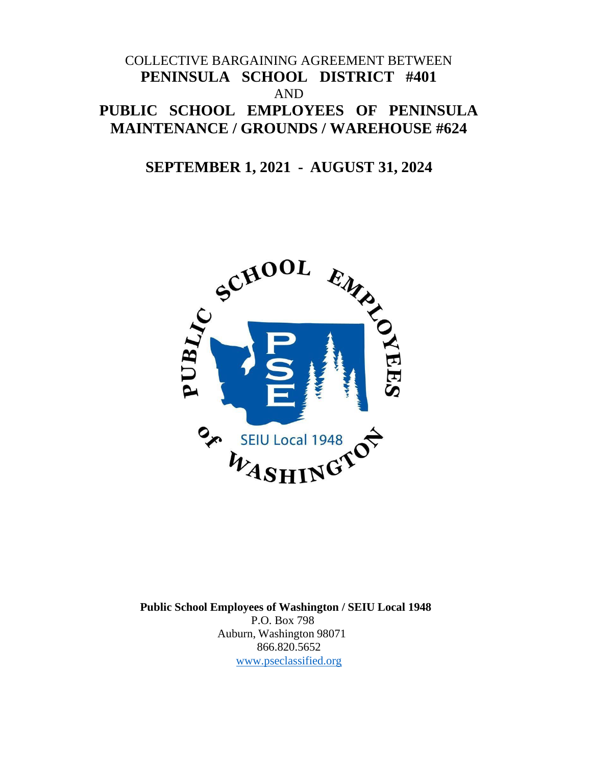# COLLECTIVE BARGAINING AGREEMENT BETWEEN **PENINSULA SCHOOL DISTRICT #401** AND **PUBLIC SCHOOL EMPLOYEES OF PENINSULA MAINTENANCE / GROUNDS / WAREHOUSE #624**

# **SEPTEMBER 1, 2021 - AUGUST 31, 2024**



**Public School Employees of Washington / SEIU Local 1948** P.O. Box 798 Auburn, Washington 98071 866.820.5652 [www.pseclassified.org](http://www.pseclassified.org/)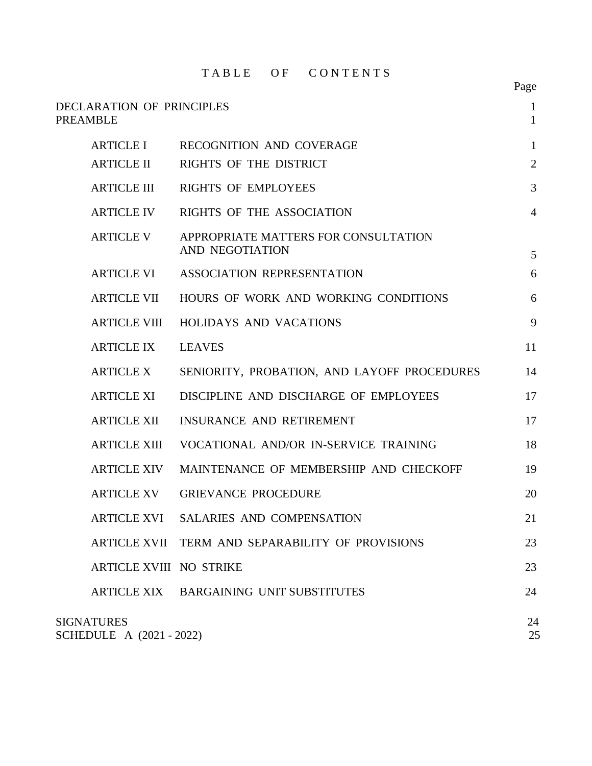### TABLE OF CONTENTS

|                                                     |                                                         | Page              |
|-----------------------------------------------------|---------------------------------------------------------|-------------------|
| <b>DECLARATION OF PRINCIPLES</b><br><b>PREAMBLE</b> |                                                         | $\mathbf{1}$<br>1 |
| <b>ARTICLE I</b>                                    | <b>RECOGNITION AND COVERAGE</b>                         | 1                 |
| <b>ARTICLE II</b>                                   | RIGHTS OF THE DISTRICT                                  | $\overline{2}$    |
| <b>ARTICLE III</b>                                  | <b>RIGHTS OF EMPLOYEES</b>                              | 3                 |
| ARTICLE IV                                          | RIGHTS OF THE ASSOCIATION                               | $\overline{4}$    |
| <b>ARTICLE V</b>                                    | APPROPRIATE MATTERS FOR CONSULTATION<br>AND NEGOTIATION | 5                 |
| ARTICLE VI                                          | <b>ASSOCIATION REPRESENTATION</b>                       | 6                 |
| <b>ARTICLE VII</b>                                  | HOURS OF WORK AND WORKING CONDITIONS                    | 6                 |
| <b>ARTICLE VIII</b>                                 | <b>HOLIDAYS AND VACATIONS</b>                           | 9                 |
| <b>ARTICLE IX</b>                                   | <b>LEAVES</b>                                           | 11                |
| <b>ARTICLE X</b>                                    | SENIORITY, PROBATION, AND LAYOFF PROCEDURES             | 14                |
| <b>ARTICLE XI</b>                                   | DISCIPLINE AND DISCHARGE OF EMPLOYEES                   | 17                |
| <b>ARTICLE XII</b>                                  | <b>INSURANCE AND RETIREMENT</b>                         | 17                |
| <b>ARTICLE XIII</b>                                 | VOCATIONAL AND/OR IN-SERVICE TRAINING                   | 18                |
| <b>ARTICLE XIV</b>                                  | MAINTENANCE OF MEMBERSHIP AND CHECKOFF                  | 19                |
| ARTICLE XV                                          | <b>GRIEVANCE PROCEDURE</b>                              | 20                |
| <b>ARTICLE XVI</b>                                  | SALARIES AND COMPENSATION                               | 21                |
|                                                     | ARTICLE XVII TERM AND SEPARABILITY OF PROVISIONS        | 23                |
| <b>ARTICLE XVIII NO STRIKE</b>                      |                                                         | 23                |
|                                                     | ARTICLE XIX BARGAINING UNIT SUBSTITUTES                 | 24                |
| <b>SIGNATURES</b><br>SCHEDULE A (2021 - 2022)       |                                                         | 24<br>25          |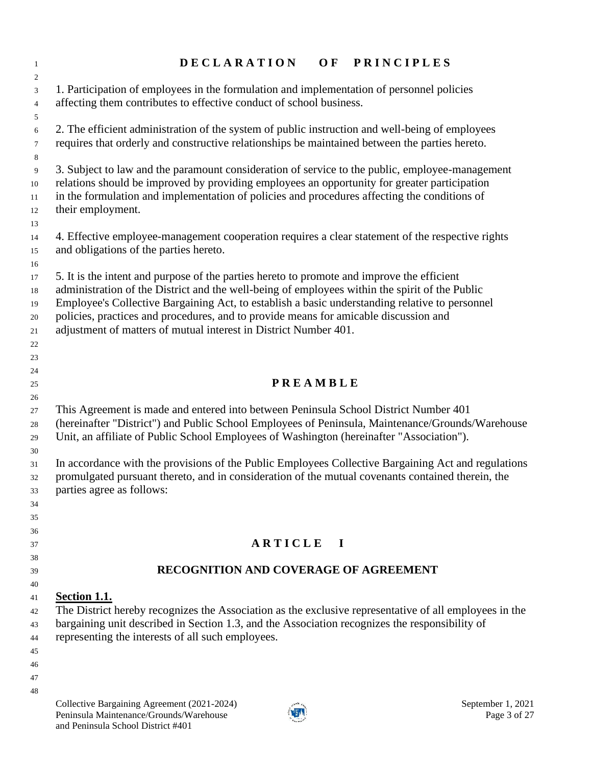| $\mathbf{1}$    | <b>DECLARATION</b><br>OF PRINCIPLES                                                                                                                                                                      |  |  |  |
|-----------------|----------------------------------------------------------------------------------------------------------------------------------------------------------------------------------------------------------|--|--|--|
| $\sqrt{2}$      |                                                                                                                                                                                                          |  |  |  |
| $\mathbf{3}$    | 1. Participation of employees in the formulation and implementation of personnel policies                                                                                                                |  |  |  |
| $\overline{4}$  | affecting them contributes to effective conduct of school business.                                                                                                                                      |  |  |  |
| 5               |                                                                                                                                                                                                          |  |  |  |
| 6               | 2. The efficient administration of the system of public instruction and well-being of employees                                                                                                          |  |  |  |
| $7\phantom{.0}$ | requires that orderly and constructive relationships be maintained between the parties hereto.                                                                                                           |  |  |  |
| 8               | 3. Subject to law and the paramount consideration of service to the public, employee-management                                                                                                          |  |  |  |
| 9<br>$10\,$     | relations should be improved by providing employees an opportunity for greater participation                                                                                                             |  |  |  |
| $11\,$          | in the formulation and implementation of policies and procedures affecting the conditions of                                                                                                             |  |  |  |
| 12              | their employment.                                                                                                                                                                                        |  |  |  |
| 13              |                                                                                                                                                                                                          |  |  |  |
| 14              | 4. Effective employee-management cooperation requires a clear statement of the respective rights                                                                                                         |  |  |  |
| 15              | and obligations of the parties hereto.                                                                                                                                                                   |  |  |  |
| 16              |                                                                                                                                                                                                          |  |  |  |
| 17              | 5. It is the intent and purpose of the parties hereto to promote and improve the efficient                                                                                                               |  |  |  |
| 18              | administration of the District and the well-being of employees within the spirit of the Public                                                                                                           |  |  |  |
| 19              | Employee's Collective Bargaining Act, to establish a basic understanding relative to personnel                                                                                                           |  |  |  |
| 20              | policies, practices and procedures, and to provide means for amicable discussion and                                                                                                                     |  |  |  |
| 21              | adjustment of matters of mutual interest in District Number 401.                                                                                                                                         |  |  |  |
| 22              |                                                                                                                                                                                                          |  |  |  |
| 23              |                                                                                                                                                                                                          |  |  |  |
| 24              |                                                                                                                                                                                                          |  |  |  |
| 25              | <b>PREAMBLE</b>                                                                                                                                                                                          |  |  |  |
| 26              |                                                                                                                                                                                                          |  |  |  |
| 27              | This Agreement is made and entered into between Peninsula School District Number 401                                                                                                                     |  |  |  |
| 28              | (hereinafter "District") and Public School Employees of Peninsula, Maintenance/Grounds/Warehouse                                                                                                         |  |  |  |
| 29              | Unit, an affiliate of Public School Employees of Washington (hereinafter "Association").                                                                                                                 |  |  |  |
| 30              |                                                                                                                                                                                                          |  |  |  |
| 31<br>32        | In accordance with the provisions of the Public Employees Collective Bargaining Act and regulations<br>promulgated pursuant thereto, and in consideration of the mutual covenants contained therein, the |  |  |  |
| 33              | parties agree as follows:                                                                                                                                                                                |  |  |  |
| 34              |                                                                                                                                                                                                          |  |  |  |
| 35              |                                                                                                                                                                                                          |  |  |  |
| 36              |                                                                                                                                                                                                          |  |  |  |
| 37              | ARTICLE<br>$\blacksquare$                                                                                                                                                                                |  |  |  |
| 38              |                                                                                                                                                                                                          |  |  |  |
| 39              | <b>RECOGNITION AND COVERAGE OF AGREEMENT</b>                                                                                                                                                             |  |  |  |
| 40              |                                                                                                                                                                                                          |  |  |  |
| 41              | <b>Section 1.1.</b>                                                                                                                                                                                      |  |  |  |
| 42              | The District hereby recognizes the Association as the exclusive representative of all employees in the                                                                                                   |  |  |  |
| 43              | bargaining unit described in Section 1.3, and the Association recognizes the responsibility of                                                                                                           |  |  |  |
| 44              | representing the interests of all such employees.                                                                                                                                                        |  |  |  |
| 45              |                                                                                                                                                                                                          |  |  |  |
| 46              |                                                                                                                                                                                                          |  |  |  |
| 47              |                                                                                                                                                                                                          |  |  |  |
| 48              |                                                                                                                                                                                                          |  |  |  |
|                 | Collective Bargaining Agreement (2021-2024)<br>September 1, 2021<br>御<br>Peninsula Maintenance/Grounds/Warehouse<br>Page 3 of 27                                                                         |  |  |  |

and Peninsula School District #401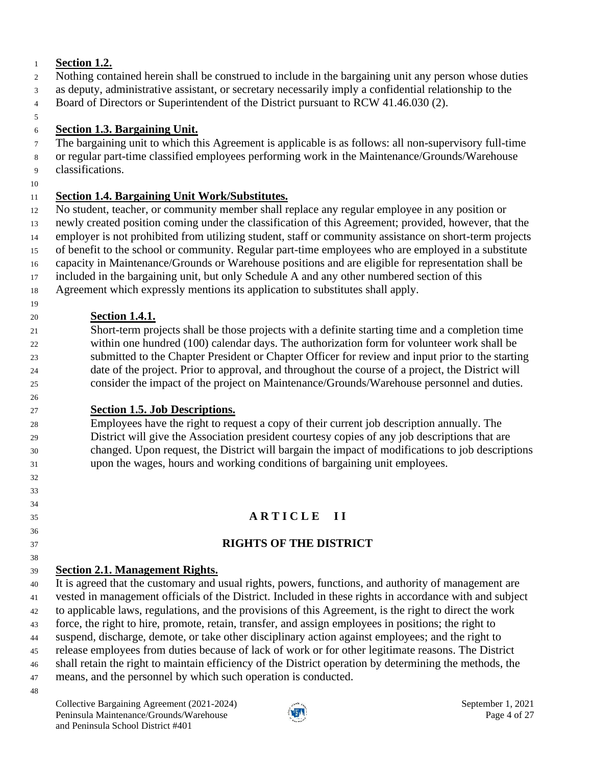# **Section 1.2.**

- Nothing contained herein shall be construed to include in the bargaining unit any person whose duties
- as deputy, administrative assistant, or secretary necessarily imply a confidential relationship to the
- Board of Directors or Superintendent of the District pursuant to RCW 41.46.030 (2).
- 

# **Section 1.3. Bargaining Unit.**

- The bargaining unit to which this Agreement is applicable is as follows: all non-supervisory full-time
- or regular part-time classified employees performing work in the Maintenance/Grounds/Warehouse
- classifications.
- 

 

# **Section 1.4. Bargaining Unit Work/Substitutes.**

 No student, teacher, or community member shall replace any regular employee in any position or newly created position coming under the classification of this Agreement; provided, however, that the employer is not prohibited from utilizing student, staff or community assistance on short-term projects of benefit to the school or community. Regular part-time employees who are employed in a substitute capacity in Maintenance/Grounds or Warehouse positions and are eligible for representation shall be included in the bargaining unit, but only Schedule A and any other numbered section of this Agreement which expressly mentions its application to substitutes shall apply.

# **Section 1.4.1.**

 Short-term projects shall be those projects with a definite starting time and a completion time within one hundred (100) calendar days. The authorization form for volunteer work shall be submitted to the Chapter President or Chapter Officer for review and input prior to the starting date of the project. Prior to approval, and throughout the course of a project, the District will consider the impact of the project on Maintenance/Grounds/Warehouse personnel and duties.

# **Section 1.5. Job Descriptions.**

 Employees have the right to request a copy of their current job description annually. The District will give the Association president courtesy copies of any job descriptions that are changed. Upon request, the District will bargain the impact of modifications to job descriptions upon the wages, hours and working conditions of bargaining unit employees.

# **A R T I C L E I I**

# **RIGHTS OF THE DISTRICT**

# **Section 2.1. Management Rights.**

<sup>40</sup> It is agreed that the customary and usual rights, powers, functions, and authority of management are vested in management officials of the District. Included in these rights in accordance with and subject to applicable laws, regulations, and the provisions of this Agreement, is the right to direct the work force, the right to hire, promote, retain, transfer, and assign employees in positions; the right to suspend, discharge, demote, or take other disciplinary action against employees; and the right to release employees from duties because of lack of work or for other legitimate reasons. The District shall retain the right to maintain efficiency of the District operation by determining the methods, the means, and the personnel by which such operation is conducted.

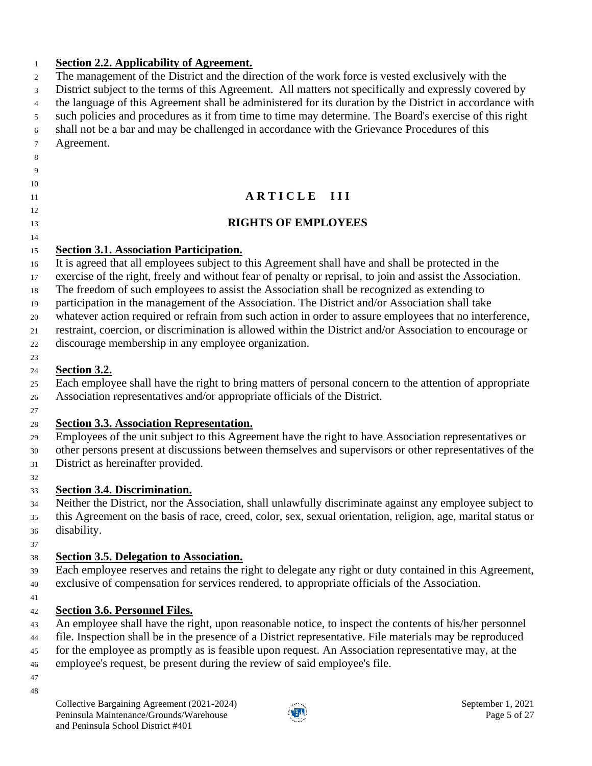### **Section 2.2. Applicability of Agreement.** The management of the District and the direction of the work force is vested exclusively with the District subject to the terms of this Agreement. All matters not specifically and expressly covered by the language of this Agreement shall be administered for its duration by the District in accordance with such policies and procedures as it from time to time may determine. The Board's exercise of this right shall not be a bar and may be challenged in accordance with the Grievance Procedures of this Agreement. **A R T I C L E I I I RIGHTS OF EMPLOYEES Section 3.1. Association Participation.** It is agreed that all employees subject to this Agreement shall have and shall be protected in the exercise of the right, freely and without fear of penalty or reprisal, to join and assist the Association. The freedom of such employees to assist the Association shall be recognized as extending to participation in the management of the Association. The District and/or Association shall take whatever action required or refrain from such action in order to assure employees that no interference, restraint, coercion, or discrimination is allowed within the District and/or Association to encourage or discourage membership in any employee organization. **Section 3.2.** Each employee shall have the right to bring matters of personal concern to the attention of appropriate Association representatives and/or appropriate officials of the District. **Section 3.3. Association Representation.** Employees of the unit subject to this Agreement have the right to have Association representatives or other persons present at discussions between themselves and supervisors or other representatives of the District as hereinafter provided. **Section 3.4. Discrimination.** Neither the District, nor the Association, shall unlawfully discriminate against any employee subject to this Agreement on the basis of race, creed, color, sex, sexual orientation, religion, age, marital status or disability. **Section 3.5. Delegation to Association.** Each employee reserves and retains the right to delegate any right or duty contained in this Agreement, exclusive of compensation for services rendered, to appropriate officials of the Association. **Section 3.6. Personnel Files.** An employee shall have the right, upon reasonable notice, to inspect the contents of his/her personnel file. Inspection shall be in the presence of a District representative. File materials may be reproduced for the employee as promptly as is feasible upon request. An Association representative may, at the employee's request, be present during the review of said employee's file.

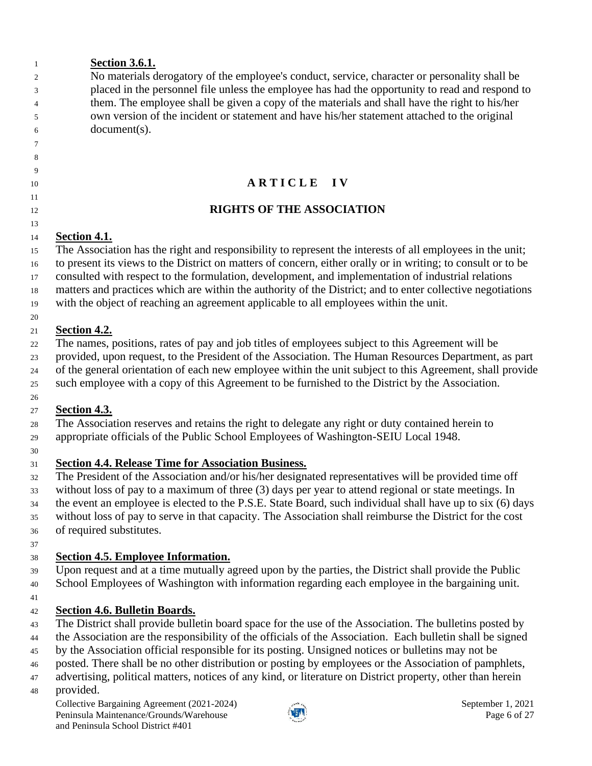| 1              | <b>Section 3.6.1.</b>                                                                                                                                                                         |
|----------------|-----------------------------------------------------------------------------------------------------------------------------------------------------------------------------------------------|
| $\overline{c}$ | No materials derogatory of the employee's conduct, service, character or personality shall be                                                                                                 |
| 3              | placed in the personnel file unless the employee has had the opportunity to read and respond to                                                                                               |
| 4              | them. The employee shall be given a copy of the materials and shall have the right to his/her<br>own version of the incident or statement and have his/her statement attached to the original |
| 5              | $document(s)$ .                                                                                                                                                                               |
| 6              |                                                                                                                                                                                               |
| 7<br>8         |                                                                                                                                                                                               |
| 9              |                                                                                                                                                                                               |
| 10             | ARTICLE IV                                                                                                                                                                                    |
| 11             |                                                                                                                                                                                               |
| 12             | <b>RIGHTS OF THE ASSOCIATION</b>                                                                                                                                                              |
| 13             |                                                                                                                                                                                               |
| 14             | <b>Section 4.1.</b>                                                                                                                                                                           |
| 15             | The Association has the right and responsibility to represent the interests of all employees in the unit;                                                                                     |
| 16             | to present its views to the District on matters of concern, either orally or in writing; to consult or to be                                                                                  |
| 17             | consulted with respect to the formulation, development, and implementation of industrial relations                                                                                            |
| 18             | matters and practices which are within the authority of the District; and to enter collective negotiations                                                                                    |
| 19             | with the object of reaching an agreement applicable to all employees within the unit.                                                                                                         |
| 20             |                                                                                                                                                                                               |
| 21             | <b>Section 4.2.</b>                                                                                                                                                                           |
| 22             | The names, positions, rates of pay and job titles of employees subject to this Agreement will be                                                                                              |
| 23             | provided, upon request, to the President of the Association. The Human Resources Department, as part                                                                                          |
| 24             | of the general orientation of each new employee within the unit subject to this Agreement, shall provide                                                                                      |
| 25             | such employee with a copy of this Agreement to be furnished to the District by the Association.                                                                                               |
| 26             |                                                                                                                                                                                               |
| 27             | <b>Section 4.3.</b>                                                                                                                                                                           |
| 28             | The Association reserves and retains the right to delegate any right or duty contained herein to                                                                                              |
| 29             | appropriate officials of the Public School Employees of Washington-SEIU Local 1948.                                                                                                           |
| 30             |                                                                                                                                                                                               |
| 31             | <b>Section 4.4. Release Time for Association Business.</b><br>The President of the Association and/or his/her designated representatives will be provided time off                            |
| 32             | without loss of pay to a maximum of three (3) days per year to attend regional or state meetings. In                                                                                          |
| 33<br>34       | the event an employee is elected to the P.S.E. State Board, such individual shall have up to six (6) days                                                                                     |
| 35             | without loss of pay to serve in that capacity. The Association shall reimburse the District for the cost                                                                                      |
| 36             | of required substitutes.                                                                                                                                                                      |
| 37             |                                                                                                                                                                                               |
| 38             | <b>Section 4.5. Employee Information.</b>                                                                                                                                                     |
| 39             | Upon request and at a time mutually agreed upon by the parties, the District shall provide the Public                                                                                         |
| 40             | School Employees of Washington with information regarding each employee in the bargaining unit.                                                                                               |
| 41             |                                                                                                                                                                                               |
| 42             | <b>Section 4.6. Bulletin Boards.</b>                                                                                                                                                          |
| 43             | The District shall provide bulletin board space for the use of the Association. The bulletins posted by                                                                                       |
| 44             | the Association are the responsibility of the officials of the Association. Each bulletin shall be signed                                                                                     |
| 45             | by the Association official responsible for its posting. Unsigned notices or bulletins may not be                                                                                             |
| 46             | posted. There shall be no other distribution or posting by employees or the Association of pamphlets,                                                                                         |
| 47             | advertising, political matters, notices of any kind, or literature on District property, other than herein                                                                                    |
| 48             | provided.                                                                                                                                                                                     |
|                | Collective Bargaining Agreement (2021-2024)<br>September 1, 2021                                                                                                                              |
|                | Peninsula Maintenance/Grounds/Warehouse<br>Page 6 of 27<br>and Peninsula School District #401                                                                                                 |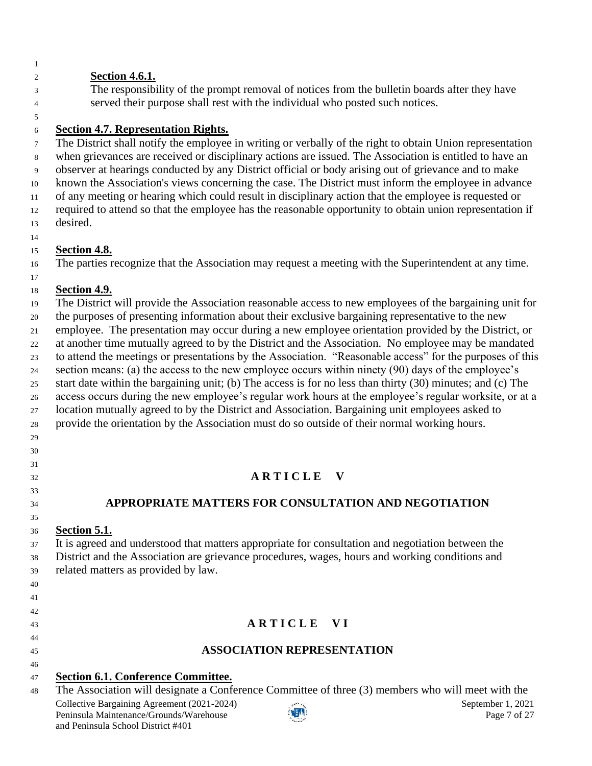# **Section 4.6.1.**

 The responsibility of the prompt removal of notices from the bulletin boards after they have served their purpose shall rest with the individual who posted such notices.

# **Section 4.7. Representation Rights.**

 The District shall notify the employee in writing or verbally of the right to obtain Union representation when grievances are received or disciplinary actions are issued. The Association is entitled to have an observer at hearings conducted by any District official or body arising out of grievance and to make known the Association's views concerning the case. The District must inform the employee in advance of any meeting or hearing which could result in disciplinary action that the employee is requested or required to attend so that the employee has the reasonable opportunity to obtain union representation if desired. 

# **Section 4.8.**

The parties recognize that the Association may request a meeting with the Superintendent at any time.

## **Section 4.9.**

 The District will provide the Association reasonable access to new employees of the bargaining unit for the purposes of presenting information about their exclusive bargaining representative to the new employee. The presentation may occur during a new employee orientation provided by the District, or at another time mutually agreed to by the District and the Association. No employee may be mandated to attend the meetings or presentations by the Association. "Reasonable access" for the purposes of this section means: (a) the access to the new employee occurs within ninety (90) days of the employee's start date within the bargaining unit; (b) The access is for no less than thirty (30) minutes; and (c) The access occurs during the new employee's regular work hours at the employee's regular worksite, or at a location mutually agreed to by the District and Association. Bargaining unit employees asked to provide the orientation by the Association must do so outside of their normal working hours.

 

 

# **A R T I C L E V**

# **APPROPRIATE MATTERS FOR CONSULTATION AND NEGOTIATION**

 **Section 5.1.**

 It is agreed and understood that matters appropriate for consultation and negotiation between the District and the Association are grievance procedures, wages, hours and working conditions and related matters as provided by law.

# **A R T I C L E V I**

# **ASSOCIATION REPRESENTATION**

# **Section 6.1. Conference Committee.**

Collective Bargaining Agreement (2021-2024) September 1, 2021 Peninsula Maintenance/Grounds/Warehouse Page 7 of 27 and Peninsula School District #401 The Association will designate a Conference Committee of three (3) members who will meet with the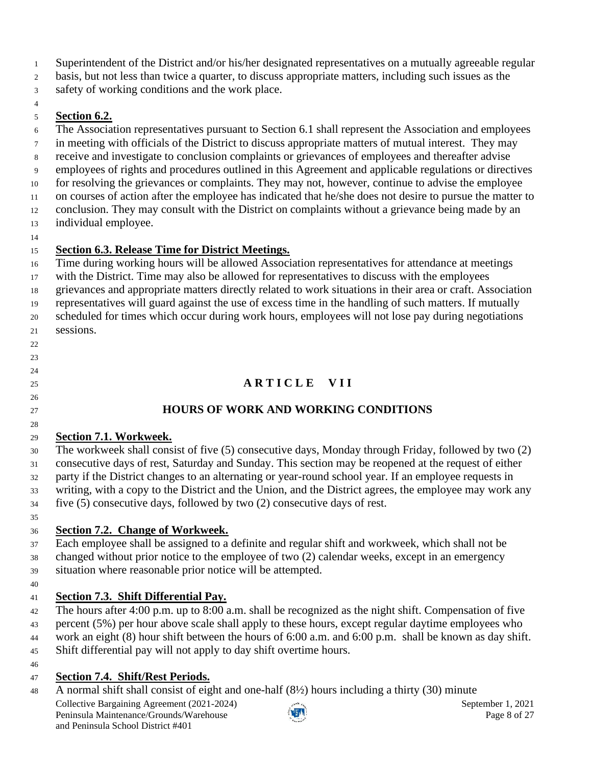- Superintendent of the District and/or his/her designated representatives on a mutually agreeable regular
- basis, but not less than twice a quarter, to discuss appropriate matters, including such issues as the
- safety of working conditions and the work place.
- 

# **Section 6.2.**

- The Association representatives pursuant to Section 6.1 shall represent the Association and employees
- in meeting with officials of the District to discuss appropriate matters of mutual interest. They may
- receive and investigate to conclusion complaints or grievances of employees and thereafter advise
- employees of rights and procedures outlined in this Agreement and applicable regulations or directives for resolving the grievances or complaints. They may not, however, continue to advise the employee
- on courses of action after the employee has indicated that he/she does not desire to pursue the matter to
- conclusion. They may consult with the District on complaints without a grievance being made by an
- individual employee.
- 

# **Section 6.3. Release Time for District Meetings.**

 Time during working hours will be allowed Association representatives for attendance at meetings with the District. Time may also be allowed for representatives to discuss with the employees

grievances and appropriate matters directly related to work situations in their area or craft. Association

representatives will guard against the use of excess time in the handling of such matters. If mutually

 scheduled for times which occur during work hours, employees will not lose pay during negotiations sessions.

- -

# 

### **A R T I C L E V I I**

# **HOURS OF WORK AND WORKING CONDITIONS**

# **Section 7.1. Workweek.**

 The workweek shall consist of five (5) consecutive days, Monday through Friday, followed by two (2) consecutive days of rest, Saturday and Sunday. This section may be reopened at the request of either party if the District changes to an alternating or year-round school year. If an employee requests in writing, with a copy to the District and the Union, and the District agrees, the employee may work any five (5) consecutive days, followed by two (2) consecutive days of rest.

# **Section 7.2. Change of Workweek.**

 Each employee shall be assigned to a definite and regular shift and workweek, which shall not be changed without prior notice to the employee of two (2) calendar weeks, except in an emergency situation where reasonable prior notice will be attempted.

# **Section 7.3. Shift Differential Pay.**

The hours after 4:00 p.m. up to 8:00 a.m. shall be recognized as the night shift. Compensation of five

- percent (5%) per hour above scale shall apply to these hours, except regular daytime employees who
- work an eight (8) hour shift between the hours of 6:00 a.m. and 6:00 p.m. shall be known as day shift.
- Shift differential pay will not apply to day shift overtime hours.
- 

# **Section 7.4. Shift/Rest Periods.**

A normal shift shall consist of eight and one-half (8½) hours including a thirty (30) minute

Collective Bargaining Agreement (2021-2024) September 1, 2021 Peninsula Maintenance/Grounds/Warehouse Page 8 of 27 and Peninsula School District #401

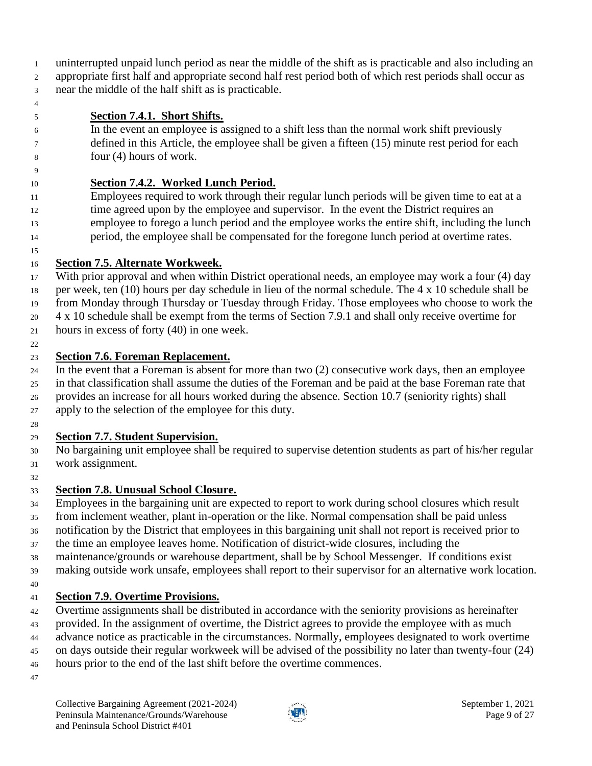uninterrupted unpaid lunch period as near the middle of the shift as is practicable and also including an

appropriate first half and appropriate second half rest period both of which rest periods shall occur as

- near the middle of the half shift as is practicable.
- 

# **Section 7.4.1. Short Shifts.**

 In the event an employee is assigned to a shift less than the normal work shift previously defined in this Article, the employee shall be given a fifteen (15) minute rest period for each four (4) hours of work.

# **Section 7.4.2. Worked Lunch Period.**

- Employees required to work through their regular lunch periods will be given time to eat at a time agreed upon by the employee and supervisor. In the event the District requires an employee to forego a lunch period and the employee works the entire shift, including the lunch period, the employee shall be compensated for the foregone lunch period at overtime rates.
- 

# **Section 7.5. Alternate Workweek.**

- With prior approval and when within District operational needs, an employee may work a four (4) day per week, ten (10) hours per day schedule in lieu of the normal schedule. The 4 x 10 schedule shall be from Monday through Thursday or Tuesday through Friday. Those employees who choose to work the 4 x 10 schedule shall be exempt from the terms of Section 7.9.1 and shall only receive overtime for hours in excess of forty (40) in one week.
- 

# **Section 7.6. Foreman Replacement.**

- In the event that a Foreman is absent for more than two (2) consecutive work days, then an employee in that classification shall assume the duties of the Foreman and be paid at the base Foreman rate that provides an increase for all hours worked during the absence. Section 10.7 (seniority rights) shall apply to the selection of the employee for this duty.
- 

# **Section 7.7. Student Supervision.**

 No bargaining unit employee shall be required to supervise detention students as part of his/her regular work assignment.

# **Section 7.8. Unusual School Closure.**

Employees in the bargaining unit are expected to report to work during school closures which result

from inclement weather, plant in-operation or the like. Normal compensation shall be paid unless

- notification by the District that employees in this bargaining unit shall not report is received prior to
- the time an employee leaves home. Notification of district-wide closures, including the
- maintenance/grounds or warehouse department, shall be by School Messenger. If conditions exist
- making outside work unsafe, employees shall report to their supervisor for an alternative work location.
- 

# **Section 7.9. Overtime Provisions.**

- Overtime assignments shall be distributed in accordance with the seniority provisions as hereinafter
- provided. In the assignment of overtime, the District agrees to provide the employee with as much
- advance notice as practicable in the circumstances. Normally, employees designated to work overtime
- on days outside their regular workweek will be advised of the possibility no later than twenty-four (24)
- hours prior to the end of the last shift before the overtime commences.
- 

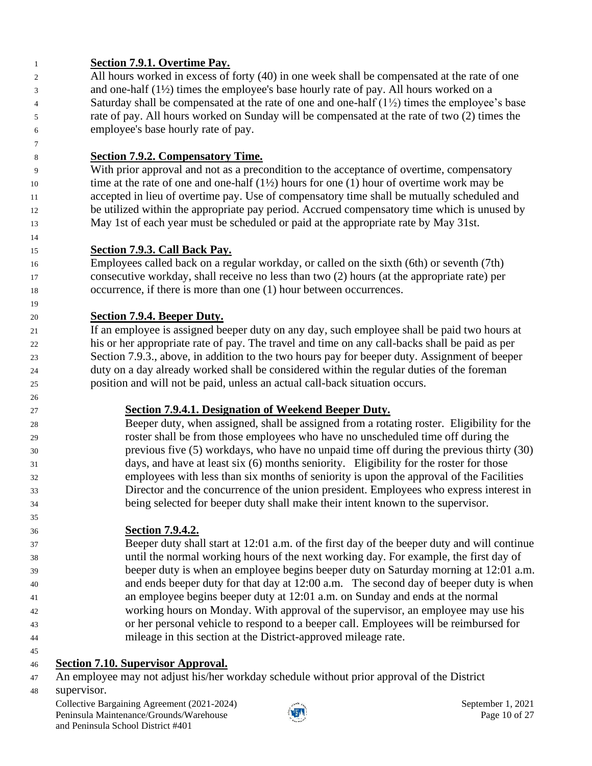## **Section 7.9.1. Overtime Pay.**

 All hours worked in excess of forty (40) in one week shall be compensated at the rate of one and one-half (1½) times the employee's base hourly rate of pay. All hours worked on a 4 Saturday shall be compensated at the rate of one and one-half  $(1\frac{1}{2})$  times the employee's base rate of pay. All hours worked on Sunday will be compensated at the rate of two (2) times the employee's base hourly rate of pay.

### **Section 7.9.2. Compensatory Time.**

 With prior approval and not as a precondition to the acceptance of overtime, compensatory 10 time at the rate of one and one-half  $(1\frac{1}{2})$  hours for one (1) hour of overtime work may be accepted in lieu of overtime pay. Use of compensatory time shall be mutually scheduled and 12 be utilized within the appropriate pay period. Accrued compensatory time which is unused by May 1st of each year must be scheduled or paid at the appropriate rate by May 31st.

### **Section 7.9.3. Call Back Pay.**

 Employees called back on a regular workday, or called on the sixth (6th) or seventh (7th) consecutive workday, shall receive no less than two (2) hours (at the appropriate rate) per occurrence, if there is more than one (1) hour between occurrences.

## **Section 7.9.4. Beeper Duty.**

 If an employee is assigned beeper duty on any day, such employee shall be paid two hours at his or her appropriate rate of pay. The travel and time on any call-backs shall be paid as per Section 7.9.3., above, in addition to the two hours pay for beeper duty. Assignment of beeper duty on a day already worked shall be considered within the regular duties of the foreman position and will not be paid, unless an actual call-back situation occurs.

### **Section 7.9.4.1. Designation of Weekend Beeper Duty.**

 Beeper duty, when assigned, shall be assigned from a rotating roster. Eligibility for the roster shall be from those employees who have no unscheduled time off during the previous five (5) workdays, who have no unpaid time off during the previous thirty (30) days, and have at least six (6) months seniority. Eligibility for the roster for those employees with less than six months of seniority is upon the approval of the Facilities Director and the concurrence of the union president. Employees who express interest in being selected for beeper duty shall make their intent known to the supervisor.

**Section 7.9.4.2.**

 Beeper duty shall start at 12:01 a.m. of the first day of the beeper duty and will continue until the normal working hours of the next working day. For example, the first day of beeper duty is when an employee begins beeper duty on Saturday morning at 12:01 a.m. and ends beeper duty for that day at 12:00 a.m. The second day of beeper duty is when an employee begins beeper duty at 12:01 a.m. on Sunday and ends at the normal working hours on Monday. With approval of the supervisor, an employee may use his or her personal vehicle to respond to a beeper call. Employees will be reimbursed for mileage in this section at the District-approved mileage rate.

### **Section 7.10. Supervisor Approval.**

An employee may not adjust his/her workday schedule without prior approval of the District

# supervisor.

Collective Bargaining Agreement (2021-2024) September 1, 2021 Peninsula Maintenance/Grounds/Warehouse Page 10 of 27 and Peninsula School District #401

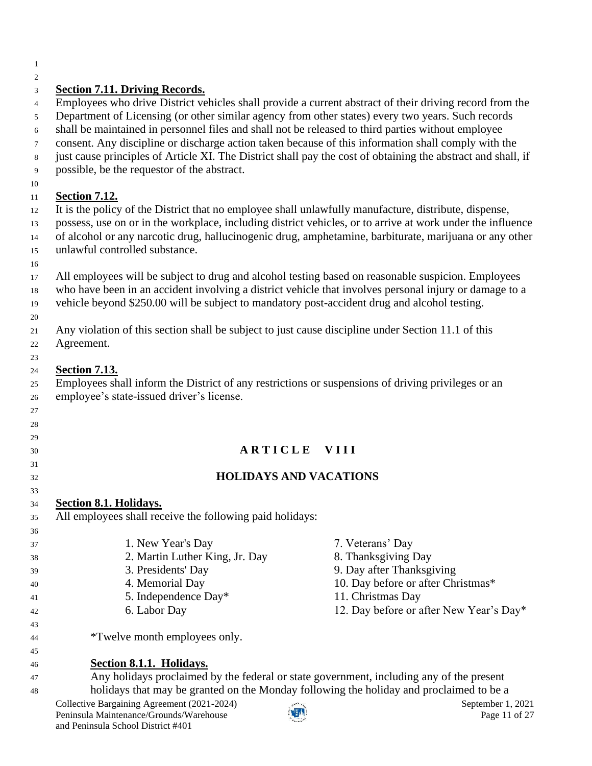| <b>Section 7.11. Driving Records.</b>                                                                  |                                                                                                              |  |  |  |
|--------------------------------------------------------------------------------------------------------|--------------------------------------------------------------------------------------------------------------|--|--|--|
| Department of Licensing (or other similar agency from other states) every two years. Such records      | Employees who drive District vehicles shall provide a current abstract of their driving record from the      |  |  |  |
| shall be maintained in personnel files and shall not be released to third parties without employee     |                                                                                                              |  |  |  |
|                                                                                                        | consent. Any discipline or discharge action taken because of this information shall comply with the          |  |  |  |
|                                                                                                        | just cause principles of Article XI. The District shall pay the cost of obtaining the abstract and shall, if |  |  |  |
| possible, be the requestor of the abstract.                                                            |                                                                                                              |  |  |  |
|                                                                                                        |                                                                                                              |  |  |  |
| <b>Section 7.12.</b>                                                                                   |                                                                                                              |  |  |  |
| It is the policy of the District that no employee shall unlawfully manufacture, distribute, dispense,  |                                                                                                              |  |  |  |
|                                                                                                        | possess, use on or in the workplace, including district vehicles, or to arrive at work under the influence   |  |  |  |
|                                                                                                        | of alcohol or any narcotic drug, hallucinogenic drug, amphetamine, barbiturate, marijuana or any other       |  |  |  |
| unlawful controlled substance.                                                                         |                                                                                                              |  |  |  |
|                                                                                                        |                                                                                                              |  |  |  |
|                                                                                                        | All employees will be subject to drug and alcohol testing based on reasonable suspicion. Employees           |  |  |  |
| who have been in an accident involving a district vehicle that involves personal injury or damage to a |                                                                                                              |  |  |  |
| vehicle beyond \$250.00 will be subject to mandatory post-accident drug and alcohol testing.           |                                                                                                              |  |  |  |
|                                                                                                        |                                                                                                              |  |  |  |
| Any violation of this section shall be subject to just cause discipline under Section 11.1 of this     |                                                                                                              |  |  |  |
| Agreement.                                                                                             |                                                                                                              |  |  |  |
|                                                                                                        |                                                                                                              |  |  |  |
| <b>Section 7.13.</b>                                                                                   |                                                                                                              |  |  |  |
| Employees shall inform the District of any restrictions or suspensions of driving privileges or an     |                                                                                                              |  |  |  |
| employee's state-issued driver's license.                                                              |                                                                                                              |  |  |  |
|                                                                                                        |                                                                                                              |  |  |  |
|                                                                                                        |                                                                                                              |  |  |  |
|                                                                                                        | ARTICLE VIII                                                                                                 |  |  |  |
|                                                                                                        |                                                                                                              |  |  |  |
|                                                                                                        | <b>HOLIDAYS AND VACATIONS</b>                                                                                |  |  |  |
|                                                                                                        |                                                                                                              |  |  |  |
| <b>Section 8.1. Holidays.</b>                                                                          |                                                                                                              |  |  |  |
| All employees shall receive the following paid holidays:                                               |                                                                                                              |  |  |  |
| 1. New Year's Day                                                                                      | 7. Veterans' Day                                                                                             |  |  |  |
| 2. Martin Luther King, Jr. Day                                                                         | 8. Thanksgiving Day                                                                                          |  |  |  |
| 3. Presidents' Day                                                                                     | 9. Day after Thanksgiving                                                                                    |  |  |  |
| 4. Memorial Day                                                                                        | 10. Day before or after Christmas*                                                                           |  |  |  |
| 5. Independence Day*                                                                                   | 11. Christmas Day                                                                                            |  |  |  |
| 6. Labor Day                                                                                           | 12. Day before or after New Year's Day*                                                                      |  |  |  |
|                                                                                                        |                                                                                                              |  |  |  |
| *Twelve month employees only.                                                                          |                                                                                                              |  |  |  |
|                                                                                                        |                                                                                                              |  |  |  |
| <b>Section 8.1.1. Holidays.</b>                                                                        |                                                                                                              |  |  |  |
|                                                                                                        | Any holidays proclaimed by the federal or state government, including any of the present                     |  |  |  |
|                                                                                                        | holidays that may be granted on the Monday following the holiday and proclaimed to be a                      |  |  |  |
| Collective Bargaining Agreement (2021-2024)                                                            | September 1, 2021                                                                                            |  |  |  |

Peninsula Maintenance/Grounds/Warehouse Page 11 of 27 and Peninsula School District #401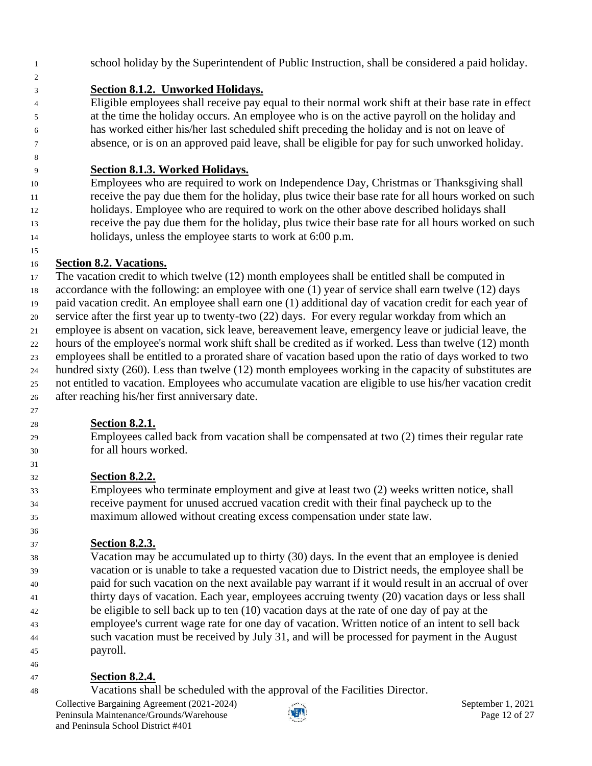school holiday by the Superintendent of Public Instruction, shall be considered a paid holiday.

## **Section 8.1.2. Unworked Holidays.**

 Eligible employees shall receive pay equal to their normal work shift at their base rate in effect at the time the holiday occurs. An employee who is on the active payroll on the holiday and has worked either his/her last scheduled shift preceding the holiday and is not on leave of absence, or is on an approved paid leave, shall be eligible for pay for such unworked holiday.

## **Section 8.1.3. Worked Holidays.**

 Employees who are required to work on Independence Day, Christmas or Thanksgiving shall receive the pay due them for the holiday, plus twice their base rate for all hours worked on such holidays. Employee who are required to work on the other above described holidays shall receive the pay due them for the holiday, plus twice their base rate for all hours worked on such holidays, unless the employee starts to work at 6:00 p.m.

### **Section 8.2. Vacations.**

 $\mathfrak{D}$ 

 The vacation credit to which twelve (12) month employees shall be entitled shall be computed in accordance with the following: an employee with one (1) year of service shall earn twelve (12) days paid vacation credit. An employee shall earn one (1) additional day of vacation credit for each year of service after the first year up to twenty-two (22) days. For every regular workday from which an employee is absent on vacation, sick leave, bereavement leave, emergency leave or judicial leave, the hours of the employee's normal work shift shall be credited as if worked. Less than twelve (12) month employees shall be entitled to a prorated share of vacation based upon the ratio of days worked to two hundred sixty (260). Less than twelve (12) month employees working in the capacity of substitutes are not entitled to vacation. Employees who accumulate vacation are eligible to use his/her vacation credit after reaching his/her first anniversary date.

**Section 8.2.1.**

 Employees called back from vacation shall be compensated at two (2) times their regular rate for all hours worked.

### **Section 8.2.2.**

 Employees who terminate employment and give at least two (2) weeks written notice, shall receive payment for unused accrued vacation credit with their final paycheck up to the maximum allowed without creating excess compensation under state law.

# **Section 8.2.3.**

 Vacation may be accumulated up to thirty (30) days. In the event that an employee is denied vacation or is unable to take a requested vacation due to District needs, the employee shall be paid for such vacation on the next available pay warrant if it would result in an accrual of over thirty days of vacation. Each year, employees accruing twenty (20) vacation days or less shall be eligible to sell back up to ten (10) vacation days at the rate of one day of pay at the employee's current wage rate for one day of vacation. Written notice of an intent to sell back such vacation must be received by July 31, and will be processed for payment in the August payroll.

### **Section 8.2.4.**

Vacations shall be scheduled with the approval of the Facilities Director.

Collective Bargaining Agreement (2021-2024) September 1, 2021 Peninsula Maintenance/Grounds/Warehouse Page 12 of 27 and Peninsula School District #401

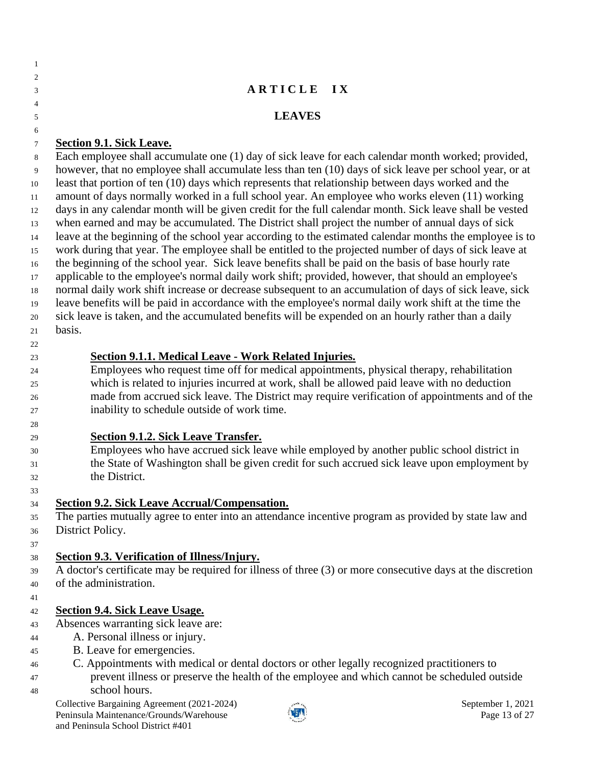## **A R T I C L E** I X

### **LEAVES**

### **Section 9.1. Sick Leave.**

 Each employee shall accumulate one (1) day of sick leave for each calendar month worked; provided, however, that no employee shall accumulate less than ten (10) days of sick leave per school year, or at least that portion of ten (10) days which represents that relationship between days worked and the amount of days normally worked in a full school year. An employee who works eleven (11) working days in any calendar month will be given credit for the full calendar month. Sick leave shall be vested when earned and may be accumulated. The District shall project the number of annual days of sick leave at the beginning of the school year according to the estimated calendar months the employee is to work during that year. The employee shall be entitled to the projected number of days of sick leave at the beginning of the school year. Sick leave benefits shall be paid on the basis of base hourly rate applicable to the employee's normal daily work shift; provided, however, that should an employee's normal daily work shift increase or decrease subsequent to an accumulation of days of sick leave, sick leave benefits will be paid in accordance with the employee's normal daily work shift at the time the sick leave is taken, and the accumulated benefits will be expended on an hourly rather than a daily basis.

  $\mathfrak{D}$ 

### **Section 9.1.1. Medical Leave - Work Related Injuries.**

 Employees who request time off for medical appointments, physical therapy, rehabilitation which is related to injuries incurred at work, shall be allowed paid leave with no deduction made from accrued sick leave. The District may require verification of appointments and of the inability to schedule outside of work time.

### **Section 9.1.2. Sick Leave Transfer.**

 Employees who have accrued sick leave while employed by another public school district in the State of Washington shall be given credit for such accrued sick leave upon employment by the District.

**Section 9.2. Sick Leave Accrual/Compensation.**

 The parties mutually agree to enter into an attendance incentive program as provided by state law and District Policy.

### **Section 9.3. Verification of Illness/Injury.**

 A doctor's certificate may be required for illness of three (3) or more consecutive days at the discretion of the administration.

### **Section 9.4. Sick Leave Usage.**

- Absences warranting sick leave are:
- A. Personal illness or injury.
- B. Leave for emergencies.
- C. Appointments with medical or dental doctors or other legally recognized practitioners to
- prevent illness or preserve the health of the employee and which cannot be scheduled outside school hours.

Collective Bargaining Agreement (2021-2024) September 1, 2021 Peninsula Maintenance/Grounds/Warehouse Page 13 of 27 and Peninsula School District #401

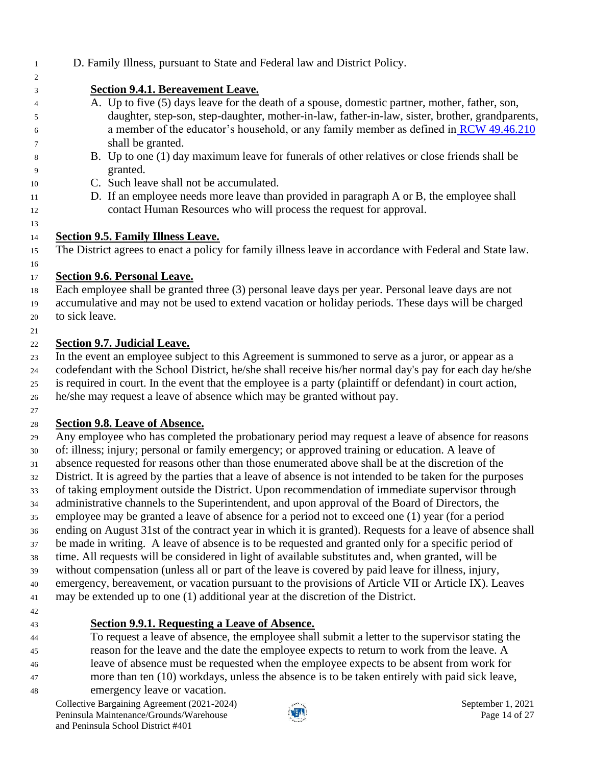D. Family Illness, pursuant to State and Federal law and District Policy.

# **Section 9.4.1. Bereavement Leave.**

- A. Up to five (5) days leave for the death of a spouse, domestic partner, mother, father, son, daughter, step-son, step-daughter, mother-in-law, father-in-law, sister, brother, grandparents, a member of the educator's household, or any family member as defined in [RCW 49.46.210](https://app.leg.wa.gov/rcw/default.aspx?cite=49.46.210) shall be granted.
- B. Up to one (1) day maximum leave for funerals of other relatives or close friends shall be granted.
- C. Such leave shall not be accumulated.
- D. If an employee needs more leave than provided in paragraph A or B, the employee shall contact Human Resources who will process the request for approval.

# **Section 9.5. Family Illness Leave.**

The District agrees to enact a policy for family illness leave in accordance with Federal and State law.

# **Section 9.6. Personal Leave.**

 Each employee shall be granted three (3) personal leave days per year. Personal leave days are not accumulative and may not be used to extend vacation or holiday periods. These days will be charged to sick leave.

#### **Section 9.7. Judicial Leave.**

 In the event an employee subject to this Agreement is summoned to serve as a juror, or appear as a codefendant with the School District, he/she shall receive his/her normal day's pay for each day he/she is required in court. In the event that the employee is a party (plaintiff or defendant) in court action, he/she may request a leave of absence which may be granted without pay.

# **Section 9.8. Leave of Absence.**

 Any employee who has completed the probationary period may request a leave of absence for reasons of: illness; injury; personal or family emergency; or approved training or education. A leave of absence requested for reasons other than those enumerated above shall be at the discretion of the District. It is agreed by the parties that a leave of absence is not intended to be taken for the purposes of taking employment outside the District. Upon recommendation of immediate supervisor through administrative channels to the Superintendent, and upon approval of the Board of Directors, the employee may be granted a leave of absence for a period not to exceed one (1) year (for a period ending on August 31st of the contract year in which it is granted). Requests for a leave of absence shall be made in writing. A leave of absence is to be requested and granted only for a specific period of time. All requests will be considered in light of available substitutes and, when granted, will be without compensation (unless all or part of the leave is covered by paid leave for illness, injury, emergency, bereavement, or vacation pursuant to the provisions of Article VII or Article IX). Leaves may be extended up to one (1) additional year at the discretion of the District.

### **Section 9.9.1. Requesting a Leave of Absence.**

To request a leave of absence, the employee shall submit a letter to the supervisor stating the

 reason for the leave and the date the employee expects to return to work from the leave. A leave of absence must be requested when the employee expects to be absent from work for more than ten (10) workdays, unless the absence is to be taken entirely with paid sick leave, emergency leave or vacation.

Collective Bargaining Agreement (2021-2024) September 1, 2021 Peninsula Maintenance/Grounds/Warehouse Page 14 of 27 and Peninsula School District #401

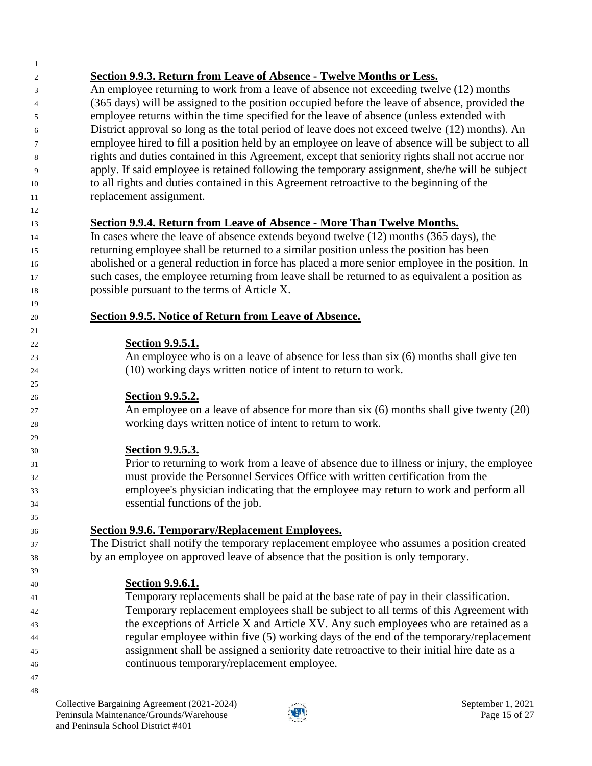| $\mathbf{1}$ |                                                                                                  |
|--------------|--------------------------------------------------------------------------------------------------|
| 2            | <b>Section 9.9.3. Return from Leave of Absence - Twelve Months or Less.</b>                      |
| 3            | An employee returning to work from a leave of absence not exceeding twelve (12) months           |
| 4            | (365 days) will be assigned to the position occupied before the leave of absence, provided the   |
| 5            | employee returns within the time specified for the leave of absence (unless extended with        |
| 6            | District approval so long as the total period of leave does not exceed twelve (12) months). An   |
| 7            | employee hired to fill a position held by an employee on leave of absence will be subject to all |
| 8            | rights and duties contained in this Agreement, except that seniority rights shall not accrue nor |
| 9            | apply. If said employee is retained following the temporary assignment, she/he will be subject   |
| 10           | to all rights and duties contained in this Agreement retroactive to the beginning of the         |
| 11           | replacement assignment.                                                                          |
| 12           |                                                                                                  |
| 13           | Section 9.9.4. Return from Leave of Absence - More Than Twelve Months.                           |
| 14           | In cases where the leave of absence extends beyond twelve (12) months (365 days), the            |
| 15           | returning employee shall be returned to a similar position unless the position has been          |
| 16           | abolished or a general reduction in force has placed a more senior employee in the position. In  |
| 17           | such cases, the employee returning from leave shall be returned to as equivalent a position as   |
| 18           | possible pursuant to the terms of Article X.                                                     |
| 19           |                                                                                                  |
| 20           | <b>Section 9.9.5. Notice of Return from Leave of Absence.</b>                                    |
| 21           |                                                                                                  |
| 22           | <u>Section 9.9.5.1.</u>                                                                          |
| 23           | An employee who is on a leave of absence for less than six (6) months shall give ten             |
| 24           | (10) working days written notice of intent to return to work.                                    |
| 25           |                                                                                                  |
| 26           | <b>Section 9.9.5.2.</b>                                                                          |
| 27           | An employee on a leave of absence for more than $six(6)$ months shall give twenty $(20)$         |
| 28           | working days written notice of intent to return to work.                                         |
| 29           |                                                                                                  |
| 30           | <b>Section 9.9.5.3.</b>                                                                          |
| 31           | Prior to returning to work from a leave of absence due to illness or injury, the employee        |
| 32           | must provide the Personnel Services Office with written certification from the                   |
| 33           | employee's physician indicating that the employee may return to work and perform all             |
| 34           | essential functions of the job.                                                                  |
| 35           |                                                                                                  |
| 36           | <b>Section 9.9.6. Temporary/Replacement Employees.</b>                                           |
| 37           | The District shall notify the temporary replacement employee who assumes a position created      |
| 38           | by an employee on approved leave of absence that the position is only temporary.                 |
| 39           |                                                                                                  |
| 40           | <u>Section 9.9.6.1.</u>                                                                          |
| 41           | Temporary replacements shall be paid at the base rate of pay in their classification.            |
| 42           | Temporary replacement employees shall be subject to all terms of this Agreement with             |
| 43           | the exceptions of Article X and Article XV. Any such employees who are retained as a             |
| 44           | regular employee within five (5) working days of the end of the temporary/replacement            |
| 45           | assignment shall be assigned a seniority date retroactive to their initial hire date as a        |
| 46           | continuous temporary/replacement employee.                                                       |
| 47           |                                                                                                  |
| 48           |                                                                                                  |

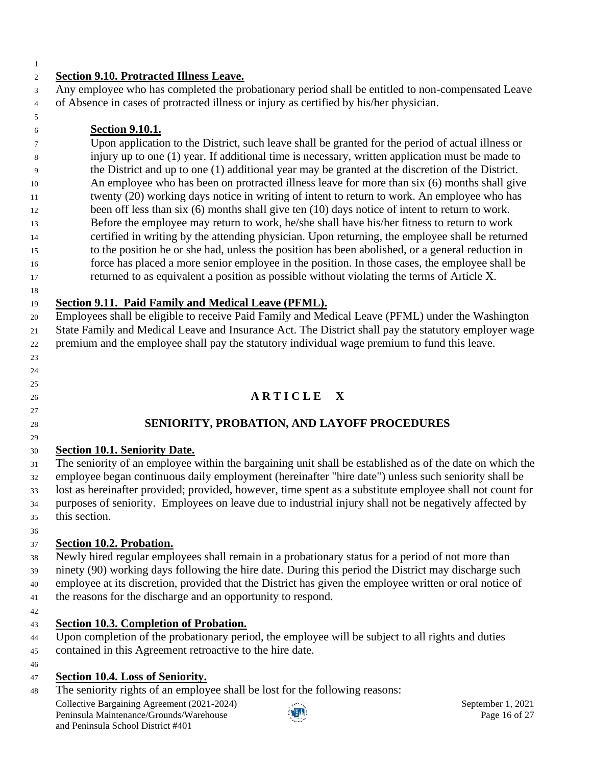# **Section 9.10. Protracted Illness Leave.**

 Any employee who has completed the probationary period shall be entitled to non-compensated Leave of Absence in cases of protracted illness or injury as certified by his/her physician.

# **Section 9.10.1.**

 Upon application to the District, such leave shall be granted for the period of actual illness or injury up to one (1) year. If additional time is necessary, written application must be made to the District and up to one (1) additional year may be granted at the discretion of the District. An employee who has been on protracted illness leave for more than six (6) months shall give twenty (20) working days notice in writing of intent to return to work. An employee who has 12 been off less than six (6) months shall give ten (10) days notice of intent to return to work. Before the employee may return to work, he/she shall have his/her fitness to return to work certified in writing by the attending physician. Upon returning, the employee shall be returned to the position he or she had, unless the position has been abolished, or a general reduction in force has placed a more senior employee in the position. In those cases, the employee shall be returned to as equivalent a position as possible without violating the terms of Article X.

# **Section 9.11. Paid Family and Medical Leave (PFML).**

 Employees shall be eligible to receive Paid Family and Medical Leave (PFML) under the Washington State Family and Medical Leave and Insurance Act. The District shall pay the statutory employer wage premium and the employee shall pay the statutory individual wage premium to fund this leave.

- 
- 
- 

# **A R T I C L E X**

# **SENIORITY, PROBATION, AND LAYOFF PROCEDURES**

# **Section 10.1. Seniority Date.**

 The seniority of an employee within the bargaining unit shall be established as of the date on which the employee began continuous daily employment (hereinafter "hire date") unless such seniority shall be lost as hereinafter provided; provided, however, time spent as a substitute employee shall not count for purposes of seniority. Employees on leave due to industrial injury shall not be negatively affected by this section.

# **Section 10.2. Probation.**

 Newly hired regular employees shall remain in a probationary status for a period of not more than ninety (90) working days following the hire date. During this period the District may discharge such employee at its discretion, provided that the District has given the employee written or oral notice of the reasons for the discharge and an opportunity to respond.

# **Section 10.3. Completion of Probation.**

Upon completion of the probationary period, the employee will be subject to all rights and duties

contained in this Agreement retroactive to the hire date.

# **Section 10.4. Loss of Seniority.**

The seniority rights of an employee shall be lost for the following reasons:

Collective Bargaining Agreement (2021-2024) September 1, 2021 Peninsula Maintenance/Grounds/Warehouse Page 16 of 27 and Peninsula School District #401

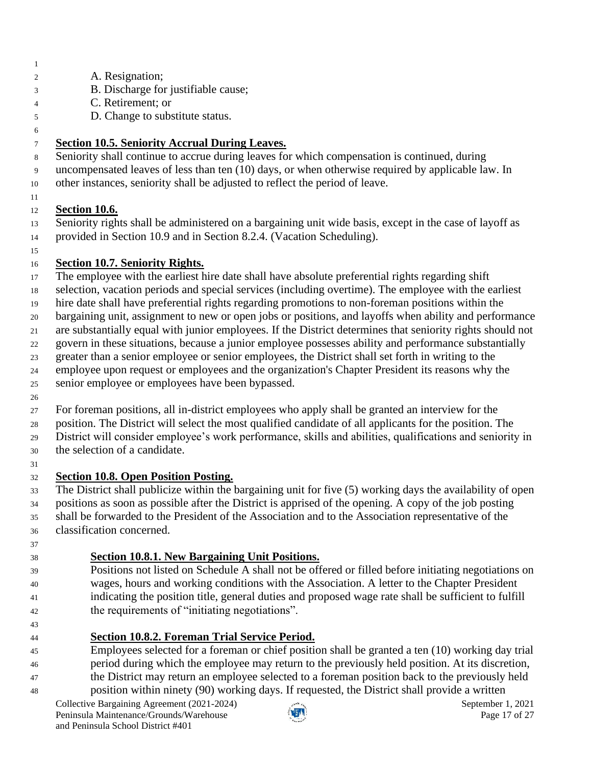- A. Resignation;
- B. Discharge for justifiable cause;
- C. Retirement; or
- D. Change to substitute status.

# **Section 10.5. Seniority Accrual During Leaves.**

 Seniority shall continue to accrue during leaves for which compensation is continued, during uncompensated leaves of less than ten (10) days, or when otherwise required by applicable law. In other instances, seniority shall be adjusted to reflect the period of leave.

## **Section 10.6.**

 Seniority rights shall be administered on a bargaining unit wide basis, except in the case of layoff as provided in Section 10.9 and in Section 8.2.4. (Vacation Scheduling).

# 

 **Section 10.7. Seniority Rights.** The employee with the earliest hire date shall have absolute preferential rights regarding shift

selection, vacation periods and special services (including overtime). The employee with the earliest

hire date shall have preferential rights regarding promotions to non-foreman positions within the

bargaining unit, assignment to new or open jobs or positions, and layoffs when ability and performance

are substantially equal with junior employees. If the District determines that seniority rights should not

govern in these situations, because a junior employee possesses ability and performance substantially

greater than a senior employee or senior employees, the District shall set forth in writing to the

 employee upon request or employees and the organization's Chapter President its reasons why the senior employee or employees have been bypassed.

For foreman positions, all in-district employees who apply shall be granted an interview for the

position. The District will select the most qualified candidate of all applicants for the position. The

District will consider employee's work performance, skills and abilities, qualifications and seniority in

the selection of a candidate.

# **Section 10.8. Open Position Posting.**

 The District shall publicize within the bargaining unit for five (5) working days the availability of open positions as soon as possible after the District is apprised of the opening. A copy of the job posting shall be forwarded to the President of the Association and to the Association representative of the classification concerned.

# **Section 10.8.1. New Bargaining Unit Positions.**

 Positions not listed on Schedule A shall not be offered or filled before initiating negotiations on wages, hours and working conditions with the Association. A letter to the Chapter President indicating the position title, general duties and proposed wage rate shall be sufficient to fulfill the requirements of "initiating negotiations".

# **Section 10.8.2. Foreman Trial Service Period.**

 Employees selected for a foreman or chief position shall be granted a ten (10) working day trial period during which the employee may return to the previously held position. At its discretion, the District may return an employee selected to a foreman position back to the previously held position within ninety (90) working days. If requested, the District shall provide a written

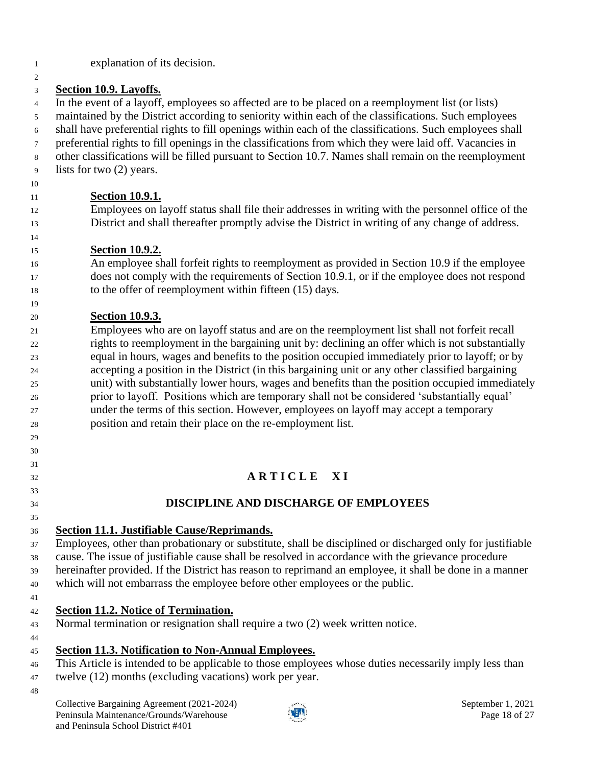### explanation of its decision.

### **Section 10.9. Layoffs.**

 In the event of a layoff, employees so affected are to be placed on a reemployment list (or lists) maintained by the District according to seniority within each of the classifications. Such employees shall have preferential rights to fill openings within each of the classifications. Such employees shall preferential rights to fill openings in the classifications from which they were laid off. Vacancies in other classifications will be filled pursuant to Section 10.7. Names shall remain on the reemployment

lists for two (2) years.

# **Section 10.9.1.**

 Employees on layoff status shall file their addresses in writing with the personnel office of the District and shall thereafter promptly advise the District in writing of any change of address.

### **Section 10.9.2.**

 An employee shall forfeit rights to reemployment as provided in Section 10.9 if the employee does not comply with the requirements of Section 10.9.1, or if the employee does not respond to the offer of reemployment within fifteen (15) days.

### **Section 10.9.3.**

 Employees who are on layoff status and are on the reemployment list shall not forfeit recall rights to reemployment in the bargaining unit by: declining an offer which is not substantially equal in hours, wages and benefits to the position occupied immediately prior to layoff; or by accepting a position in the District (in this bargaining unit or any other classified bargaining unit) with substantially lower hours, wages and benefits than the position occupied immediately prior to layoff. Positions which are temporary shall not be considered 'substantially equal' under the terms of this section. However, employees on layoff may accept a temporary position and retain their place on the re-employment list.

# **A R T I C L E X I**

 

### **DISCIPLINE AND DISCHARGE OF EMPLOYEES**

### **Section 11.1. Justifiable Cause/Reprimands.**

 Employees, other than probationary or substitute, shall be disciplined or discharged only for justifiable cause. The issue of justifiable cause shall be resolved in accordance with the grievance procedure hereinafter provided. If the District has reason to reprimand an employee, it shall be done in a manner which will not embarrass the employee before other employees or the public.

### **Section 11.2. Notice of Termination.**

Normal termination or resignation shall require a two (2) week written notice.

### **Section 11.3. Notification to Non-Annual Employees.**

 This Article is intended to be applicable to those employees whose duties necessarily imply less than twelve (12) months (excluding vacations) work per year.

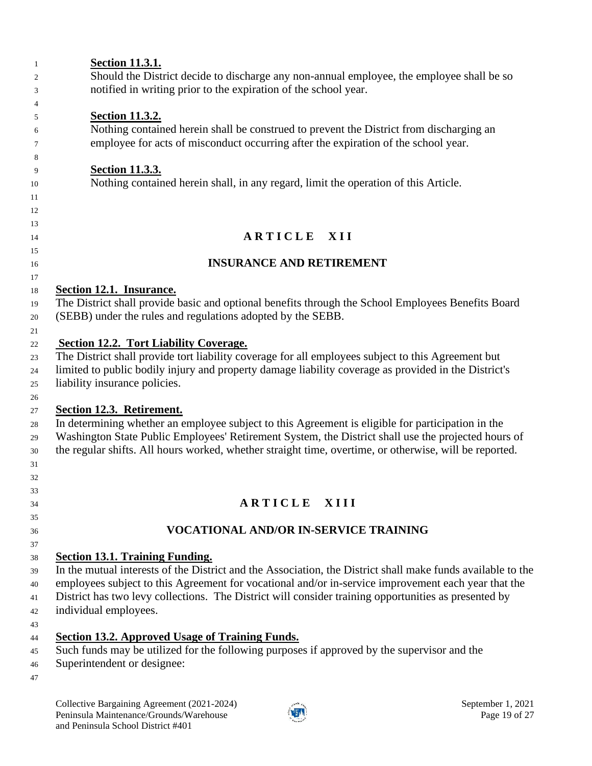| 1        | <b>Section 11.3.1.</b>                                                                                                                                |
|----------|-------------------------------------------------------------------------------------------------------------------------------------------------------|
| 2        | Should the District decide to discharge any non-annual employee, the employee shall be so                                                             |
| 3        | notified in writing prior to the expiration of the school year.                                                                                       |
| 4        | <b>Section 11.3.2.</b>                                                                                                                                |
| 5<br>6   | Nothing contained herein shall be construed to prevent the District from discharging an                                                               |
| 7        | employee for acts of misconduct occurring after the expiration of the school year.                                                                    |
| 8        |                                                                                                                                                       |
| 9        | <b>Section 11.3.3.</b>                                                                                                                                |
| 10       | Nothing contained herein shall, in any regard, limit the operation of this Article.                                                                   |
| 11       |                                                                                                                                                       |
| 12       |                                                                                                                                                       |
| 13<br>14 | ARTICLE XII                                                                                                                                           |
| 15       |                                                                                                                                                       |
| 16       | <b>INSURANCE AND RETIREMENT</b>                                                                                                                       |
| 17       |                                                                                                                                                       |
| 18       | <b>Section 12.1. Insurance.</b>                                                                                                                       |
| 19       | The District shall provide basic and optional benefits through the School Employees Benefits Board                                                    |
| 20       | (SEBB) under the rules and regulations adopted by the SEBB.                                                                                           |
| 21<br>22 | <b>Section 12.2. Tort Liability Coverage.</b>                                                                                                         |
| 23       | The District shall provide tort liability coverage for all employees subject to this Agreement but                                                    |
| 24       | limited to public bodily injury and property damage liability coverage as provided in the District's                                                  |
| 25       | liability insurance policies.                                                                                                                         |
| 26       |                                                                                                                                                       |
| 27       | Section 12.3. Retirement.                                                                                                                             |
| 28       | In determining whether an employee subject to this Agreement is eligible for participation in the                                                     |
| 29       | Washington State Public Employees' Retirement System, the District shall use the projected hours of                                                   |
| 30<br>31 | the regular shifts. All hours worked, whether straight time, overtime, or otherwise, will be reported.                                                |
| 32       |                                                                                                                                                       |
| 33       |                                                                                                                                                       |
| 34       | ARTICLE XIII                                                                                                                                          |
| 35       |                                                                                                                                                       |
| 36       | <b>VOCATIONAL AND/OR IN-SERVICE TRAINING</b>                                                                                                          |
| 37       |                                                                                                                                                       |
| 38       | <b>Section 13.1. Training Funding.</b><br>In the mutual interests of the District and the Association, the District shall make funds available to the |
| 39<br>40 | employees subject to this Agreement for vocational and/or in-service improvement each year that the                                                   |
| 41       | District has two levy collections. The District will consider training opportunities as presented by                                                  |
| 42       | individual employees.                                                                                                                                 |
| 43       |                                                                                                                                                       |
| 44       | <b>Section 13.2. Approved Usage of Training Funds.</b>                                                                                                |
| 45       | Such funds may be utilized for the following purposes if approved by the supervisor and the                                                           |
| 46       | Superintendent or designee:                                                                                                                           |
| 47       |                                                                                                                                                       |

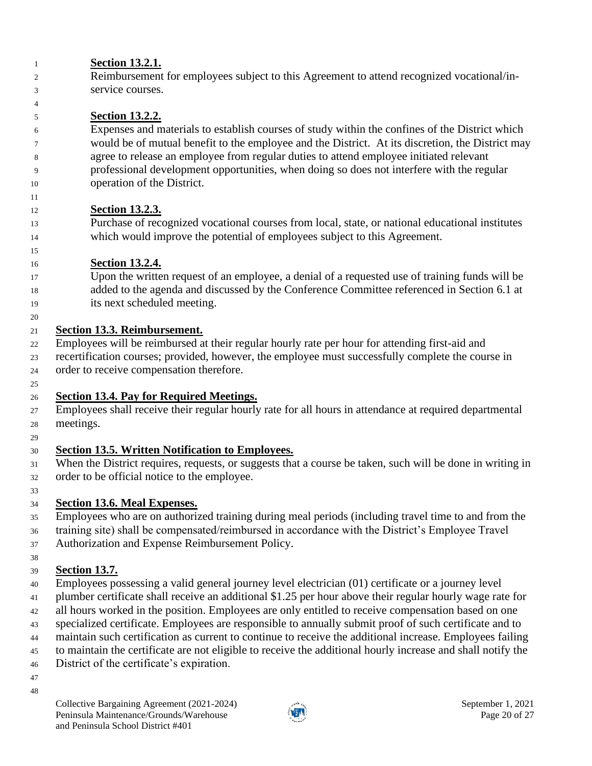# **Section 13.2.1.**

 Reimbursement for employees subject to this Agreement to attend recognized vocational/in-service courses.

## **Section 13.2.2.**

 Expenses and materials to establish courses of study within the confines of the District which would be of mutual benefit to the employee and the District. At its discretion, the District may agree to release an employee from regular duties to attend employee initiated relevant professional development opportunities, when doing so does not interfere with the regular operation of the District.

## **Section 13.2.3.**

 Purchase of recognized vocational courses from local, state, or national educational institutes which would improve the potential of employees subject to this Agreement.

## **Section 13.2.4.**

 Upon the written request of an employee, a denial of a requested use of training funds will be added to the agenda and discussed by the Conference Committee referenced in Section 6.1 at its next scheduled meeting.

## **Section 13.3. Reimbursement.**

Employees will be reimbursed at their regular hourly rate per hour for attending first-aid and

- recertification courses; provided, however, the employee must successfully complete the course in
- order to receive compensation therefore.

# 

# **Section 13.4. Pay for Required Meetings.**

 Employees shall receive their regular hourly rate for all hours in attendance at required departmental meetings.

### **Section 13.5. Written Notification to Employees.**

 When the District requires, requests, or suggests that a course be taken, such will be done in writing in order to be official notice to the employee.

# **Section 13.6. Meal Expenses.**

- Employees who are on authorized training during meal periods (including travel time to and from the training site) shall be compensated/reimbursed in accordance with the District's Employee Travel
- Authorization and Expense Reimbursement Policy.

#### **Section 13.7.**

- Employees possessing a valid general journey level electrician (01) certificate or a journey level
- plumber certificate shall receive an additional \$1.25 per hour above their regular hourly wage rate for
- 42 all hours worked in the position. Employees are only entitled to receive compensation based on one
- specialized certificate. Employees are responsible to annually submit proof of such certificate and to
- maintain such certification as current to continue to receive the additional increase. Employees failing
- to maintain the certificate are not eligible to receive the additional hourly increase and shall notify the
- District of the certificate's expiration.
- 

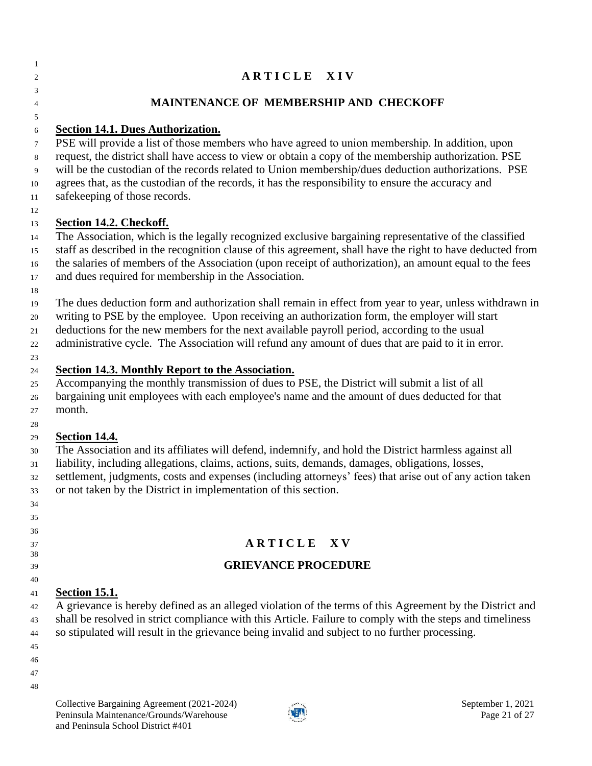| -1<br>2             | ARTICLE XIV                                                                                                                                                                                                           |
|---------------------|-----------------------------------------------------------------------------------------------------------------------------------------------------------------------------------------------------------------------|
| 3<br>$\overline{4}$ | <b>MAINTENANCE OF MEMBERSHIP AND CHECKOFF</b>                                                                                                                                                                         |
| 5                   |                                                                                                                                                                                                                       |
| 6                   | <b>Section 14.1. Dues Authorization.</b>                                                                                                                                                                              |
| $\tau$              | PSE will provide a list of those members who have agreed to union membership. In addition, upon                                                                                                                       |
| 8                   | request, the district shall have access to view or obtain a copy of the membership authorization. PSE                                                                                                                 |
| 9                   | will be the custodian of the records related to Union membership/dues deduction authorizations. PSE                                                                                                                   |
| $10\,$              | agrees that, as the custodian of the records, it has the responsibility to ensure the accuracy and                                                                                                                    |
| 11                  | safekeeping of those records.                                                                                                                                                                                         |
| 12                  |                                                                                                                                                                                                                       |
| 13                  | Section 14.2. Checkoff.                                                                                                                                                                                               |
| 14                  | The Association, which is the legally recognized exclusive bargaining representative of the classified                                                                                                                |
| 15                  | staff as described in the recognition clause of this agreement, shall have the right to have deducted from<br>the salaries of members of the Association (upon receipt of authorization), an amount equal to the fees |
| 16<br>17            | and dues required for membership in the Association.                                                                                                                                                                  |
| 18                  |                                                                                                                                                                                                                       |
| 19                  | The dues deduction form and authorization shall remain in effect from year to year, unless withdrawn in                                                                                                               |
| 20                  | writing to PSE by the employee. Upon receiving an authorization form, the employer will start                                                                                                                         |
| 21                  | deductions for the new members for the next available payroll period, according to the usual                                                                                                                          |
| 22                  | administrative cycle. The Association will refund any amount of dues that are paid to it in error.                                                                                                                    |
| 23                  |                                                                                                                                                                                                                       |
| 24                  | <b>Section 14.3. Monthly Report to the Association.</b>                                                                                                                                                               |
| 25                  | Accompanying the monthly transmission of dues to PSE, the District will submit a list of all                                                                                                                          |
| 26                  | bargaining unit employees with each employee's name and the amount of dues deducted for that                                                                                                                          |
| 27                  | month.                                                                                                                                                                                                                |
| 28                  |                                                                                                                                                                                                                       |
| 29                  | <b>Section 14.4.</b>                                                                                                                                                                                                  |
| 30<br>31            | The Association and its affiliates will defend, indemnify, and hold the District harmless against all<br>liability, including allegations, claims, actions, suits, demands, damages, obligations, losses,             |
| 32                  | settlement, judgments, costs and expenses (including attorneys' fees) that arise out of any action taken                                                                                                              |
| 33                  | or not taken by the District in implementation of this section.                                                                                                                                                       |
| 34                  |                                                                                                                                                                                                                       |
| 35                  |                                                                                                                                                                                                                       |
| 36                  |                                                                                                                                                                                                                       |
| 37                  | ARTICLE XV                                                                                                                                                                                                            |
| 38                  | <b>GRIEVANCE PROCEDURE</b>                                                                                                                                                                                            |
| 39                  |                                                                                                                                                                                                                       |
| 40<br>41            | <b>Section 15.1.</b>                                                                                                                                                                                                  |
| 42                  | A grievance is hereby defined as an alleged violation of the terms of this Agreement by the District and                                                                                                              |
| 43                  | shall be resolved in strict compliance with this Article. Failure to comply with the steps and timeliness                                                                                                             |
| 44                  | so stipulated will result in the grievance being invalid and subject to no further processing.                                                                                                                        |
| 45                  |                                                                                                                                                                                                                       |
| 46                  |                                                                                                                                                                                                                       |
| 47                  |                                                                                                                                                                                                                       |
| 48                  |                                                                                                                                                                                                                       |
|                     | Collective Bargaining Agreement (2021-2024)<br>September 1, 2021                                                                                                                                                      |

Peninsula Maintenance/Grounds/Warehouse Page 21 of 27 and Peninsula School District #401

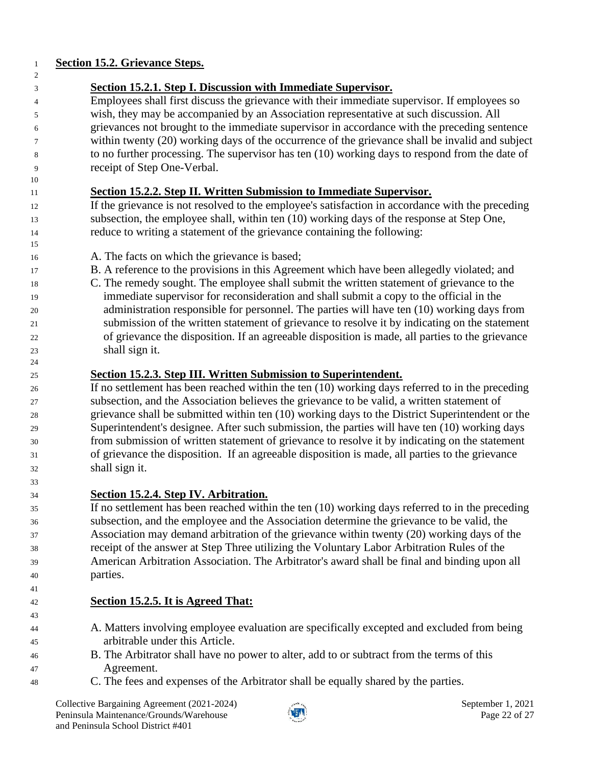### **Section 15.2. Grievance Steps.**

- **Section 15.2.1. Step I. Discussion with Immediate Supervisor.** Employees shall first discuss the grievance with their immediate supervisor. If employees so wish, they may be accompanied by an Association representative at such discussion. All grievances not brought to the immediate supervisor in accordance with the preceding sentence within twenty (20) working days of the occurrence of the grievance shall be invalid and subject to no further processing. The supervisor has ten (10) working days to respond from the date of receipt of Step One-Verbal. **Section 15.2.2. Step II. Written Submission to Immediate Supervisor.** If the grievance is not resolved to the employee's satisfaction in accordance with the preceding subsection, the employee shall, within ten (10) working days of the response at Step One, reduce to writing a statement of the grievance containing the following: A. The facts on which the grievance is based; B. A reference to the provisions in this Agreement which have been allegedly violated; and C. The remedy sought. The employee shall submit the written statement of grievance to the immediate supervisor for reconsideration and shall submit a copy to the official in the administration responsible for personnel. The parties will have ten (10) working days from submission of the written statement of grievance to resolve it by indicating on the statement of grievance the disposition. If an agreeable disposition is made, all parties to the grievance shall sign it. **Section 15.2.3. Step III. Written Submission to Superintendent.** If no settlement has been reached within the ten (10) working days referred to in the preceding subsection, and the Association believes the grievance to be valid, a written statement of grievance shall be submitted within ten (10) working days to the District Superintendent or the Superintendent's designee. After such submission, the parties will have ten (10) working days from submission of written statement of grievance to resolve it by indicating on the statement of grievance the disposition. If an agreeable disposition is made, all parties to the grievance shall sign it.
- **Section 15.2.4. Step IV. Arbitration.**

 If no settlement has been reached within the ten (10) working days referred to in the preceding subsection, and the employee and the Association determine the grievance to be valid, the Association may demand arbitration of the grievance within twenty (20) working days of the receipt of the answer at Step Three utilizing the Voluntary Labor Arbitration Rules of the American Arbitration Association. The Arbitrator's award shall be final and binding upon all parties.

- **Section 15.2.5. It is Agreed That:**
- A. Matters involving employee evaluation are specifically excepted and excluded from being arbitrable under this Article.
- B. The Arbitrator shall have no power to alter, add to or subtract from the terms of this Agreement.
- C. The fees and expenses of the Arbitrator shall be equally shared by the parties.

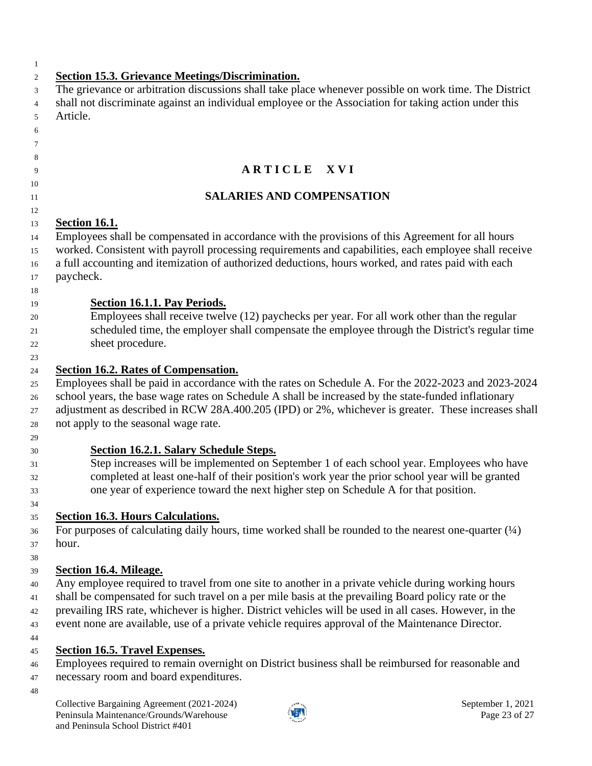| <b>Section 15.3. Grievance Meetings/Discrimination.</b>                                                                                                                                                   |                   |
|-----------------------------------------------------------------------------------------------------------------------------------------------------------------------------------------------------------|-------------------|
| The grievance or arbitration discussions shall take place whenever possible on work time. The District                                                                                                    |                   |
| shall not discriminate against an individual employee or the Association for taking action under this                                                                                                     |                   |
| Article.                                                                                                                                                                                                  |                   |
|                                                                                                                                                                                                           |                   |
|                                                                                                                                                                                                           |                   |
|                                                                                                                                                                                                           |                   |
| ARTICLE XVI                                                                                                                                                                                               |                   |
|                                                                                                                                                                                                           |                   |
| <b>SALARIES AND COMPENSATION</b>                                                                                                                                                                          |                   |
| <b>Section 16.1.</b>                                                                                                                                                                                      |                   |
|                                                                                                                                                                                                           |                   |
| Employees shall be compensated in accordance with the provisions of this Agreement for all hours<br>worked. Consistent with payroll processing requirements and capabilities, each employee shall receive |                   |
| a full accounting and itemization of authorized deductions, hours worked, and rates paid with each                                                                                                        |                   |
|                                                                                                                                                                                                           |                   |
| paycheck.                                                                                                                                                                                                 |                   |
| Section 16.1.1. Pay Periods.                                                                                                                                                                              |                   |
|                                                                                                                                                                                                           |                   |
| Employees shall receive twelve (12) paychecks per year. For all work other than the regular                                                                                                               |                   |
| scheduled time, the employer shall compensate the employee through the District's regular time                                                                                                            |                   |
| sheet procedure.                                                                                                                                                                                          |                   |
| <b>Section 16.2. Rates of Compensation.</b>                                                                                                                                                               |                   |
| Employees shall be paid in accordance with the rates on Schedule A. For the 2022-2023 and 2023-2024                                                                                                       |                   |
| school years, the base wage rates on Schedule A shall be increased by the state-funded inflationary                                                                                                       |                   |
| adjustment as described in RCW 28A.400.205 (IPD) or 2%, whichever is greater. These increases shall                                                                                                       |                   |
| not apply to the seasonal wage rate.                                                                                                                                                                      |                   |
|                                                                                                                                                                                                           |                   |
| <b>Section 16.2.1. Salary Schedule Steps.</b>                                                                                                                                                             |                   |
| Step increases will be implemented on September 1 of each school year. Employees who have                                                                                                                 |                   |
| completed at least one-half of their position's work year the prior school year will be granted                                                                                                           |                   |
| one year of experience toward the next higher step on Schedule A for that position.                                                                                                                       |                   |
|                                                                                                                                                                                                           |                   |
| <b>Section 16.3. Hours Calculations.</b>                                                                                                                                                                  |                   |
| For purposes of calculating daily hours, time worked shall be rounded to the nearest one-quarter $(½)$<br>hour.                                                                                           |                   |
|                                                                                                                                                                                                           |                   |
| <b>Section 16.4. Mileage.</b>                                                                                                                                                                             |                   |
| Any employee required to travel from one site to another in a private vehicle during working hours                                                                                                        |                   |
| shall be compensated for such travel on a per mile basis at the prevailing Board policy rate or the                                                                                                       |                   |
|                                                                                                                                                                                                           |                   |
| prevailing IRS rate, whichever is higher. District vehicles will be used in all cases. However, in the                                                                                                    |                   |
| event none are available, use of a private vehicle requires approval of the Maintenance Director.                                                                                                         |                   |
| <b>Section 16.5. Travel Expenses.</b>                                                                                                                                                                     |                   |
| Employees required to remain overnight on District business shall be reimbursed for reasonable and                                                                                                        |                   |
| necessary room and board expenditures.                                                                                                                                                                    |                   |
|                                                                                                                                                                                                           |                   |
| Collective Bargaining Agreement (2021-2024)<br><b>SANDAL AND</b>                                                                                                                                          | September 1, 2021 |

Peninsula Maintenance/Grounds/Warehouse Page 23 of 27 and Peninsula School District #401

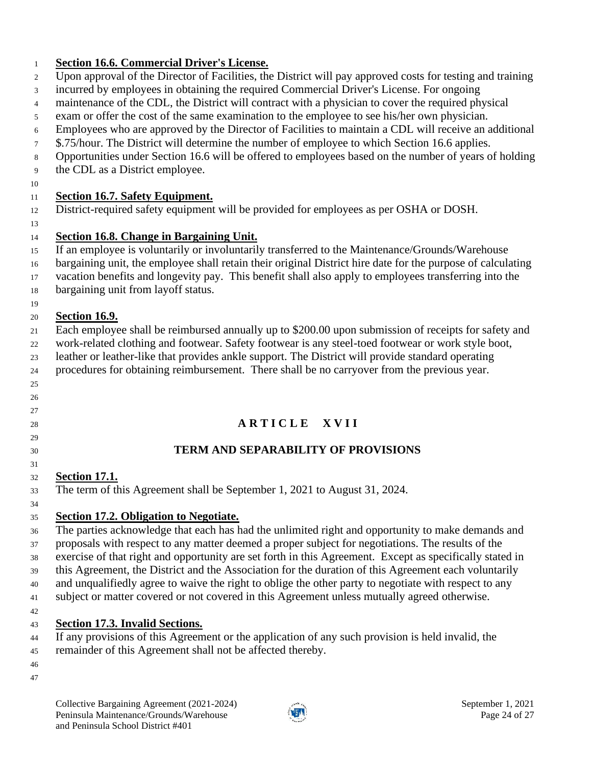### **Section 16.6. Commercial Driver's License.**

- Upon approval of the Director of Facilities, the District will pay approved costs for testing and training
- incurred by employees in obtaining the required Commercial Driver's License. For ongoing
- maintenance of the CDL, the District will contract with a physician to cover the required physical
- exam or offer the cost of the same examination to the employee to see his/her own physician.
- Employees who are approved by the Director of Facilities to maintain a CDL will receive an additional
- \$.75/hour. The District will determine the number of employee to which Section 16.6 applies.
- Opportunities under Section 16.6 will be offered to employees based on the number of years of holding
- the CDL as a District employee.
- 

# **Section 16.7. Safety Equipment.**

District-required safety equipment will be provided for employees as per OSHA or DOSH.

#### **Section 16.8. Change in Bargaining Unit.**

If an employee is voluntarily or involuntarily transferred to the Maintenance/Grounds/Warehouse

bargaining unit, the employee shall retain their original District hire date for the purpose of calculating

vacation benefits and longevity pay. This benefit shall also apply to employees transferring into the

bargaining unit from layoff status.

### **Section 16.9.**

Each employee shall be reimbursed annually up to \$200.00 upon submission of receipts for safety and

work-related clothing and footwear. Safety footwear is any steel-toed footwear or work style boot,

 leather or leather-like that provides ankle support. The District will provide standard operating procedures for obtaining reimbursement. There shall be no carryover from the previous year.

# 

- 
- 
- 
- 

# **A R T I C L E X V I I**

# **TERM AND SEPARABILITY OF PROVISIONS**

#### **Section 17.1.**

The term of this Agreement shall be September 1, 2021 to August 31, 2024.

### **Section 17.2. Obligation to Negotiate.**

 The parties acknowledge that each has had the unlimited right and opportunity to make demands and proposals with respect to any matter deemed a proper subject for negotiations. The results of the exercise of that right and opportunity are set forth in this Agreement. Except as specifically stated in this Agreement, the District and the Association for the duration of this Agreement each voluntarily and unqualifiedly agree to waive the right to oblige the other party to negotiate with respect to any subject or matter covered or not covered in this Agreement unless mutually agreed otherwise.

#### **Section 17.3. Invalid Sections.**

If any provisions of this Agreement or the application of any such provision is held invalid, the

- remainder of this Agreement shall not be affected thereby.
- 
- Collective Bargaining Agreement (2021-2024) September 1, 2021 Peninsula Maintenance/Grounds/Warehouse Page 24 of 27 and Peninsula School District #401

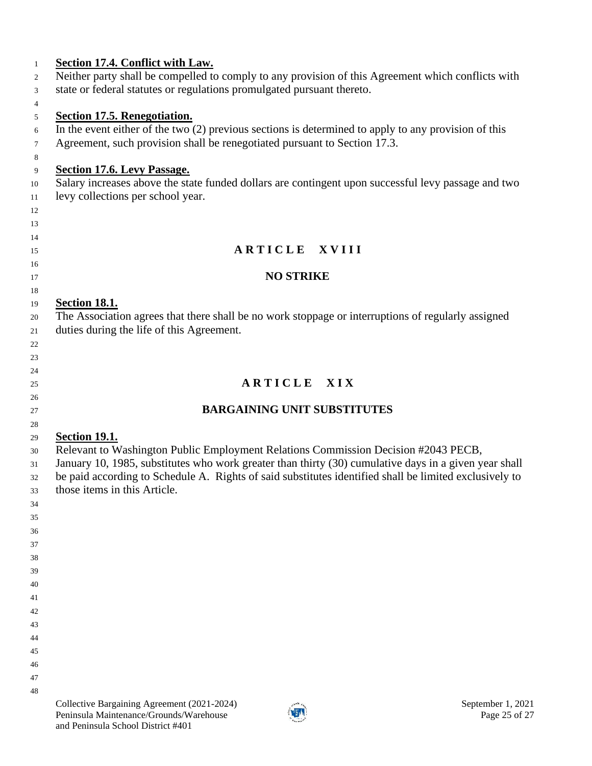| Neither party shall be compelled to comply to any provision of this Agreement which conflicts with     |                   |
|--------------------------------------------------------------------------------------------------------|-------------------|
| state or federal statutes or regulations promulgated pursuant thereto.                                 |                   |
| Section 17.5. Renegotiation.                                                                           |                   |
| In the event either of the two $(2)$ previous sections is determined to apply to any provision of this |                   |
| Agreement, such provision shall be renegotiated pursuant to Section 17.3.                              |                   |
| <b>Section 17.6. Levy Passage.</b>                                                                     |                   |
| Salary increases above the state funded dollars are contingent upon successful levy passage and two    |                   |
| levy collections per school year.                                                                      |                   |
|                                                                                                        |                   |
|                                                                                                        |                   |
| ARTICLE XVIII                                                                                          |                   |
|                                                                                                        |                   |
| <b>NO STRIKE</b>                                                                                       |                   |
| <b>Section 18.1.</b>                                                                                   |                   |
| The Association agrees that there shall be no work stoppage or interruptions of regularly assigned     |                   |
| duties during the life of this Agreement.                                                              |                   |
|                                                                                                        |                   |
|                                                                                                        |                   |
|                                                                                                        |                   |
| ARTICLE XIX                                                                                            |                   |
| <b>BARGAINING UNIT SUBSTITUTES</b>                                                                     |                   |
|                                                                                                        |                   |
| <b>Section 19.1.</b>                                                                                   |                   |
| Relevant to Washington Public Employment Relations Commission Decision #2043 PECB,                     |                   |
| January 10, 1985, substitutes who work greater than thirty (30) cumulative days in a given year shall  |                   |
| be paid according to Schedule A. Rights of said substitutes identified shall be limited exclusively to |                   |
| those items in this Article.                                                                           |                   |
|                                                                                                        |                   |
|                                                                                                        |                   |
|                                                                                                        |                   |
|                                                                                                        |                   |
|                                                                                                        |                   |
|                                                                                                        |                   |
|                                                                                                        |                   |
|                                                                                                        |                   |
|                                                                                                        |                   |
|                                                                                                        |                   |
|                                                                                                        |                   |
|                                                                                                        |                   |
|                                                                                                        |                   |
| Collective Bargaining Agreement (2021-2024)<br><b>SWOLFERS</b>                                         | September 1, 2021 |

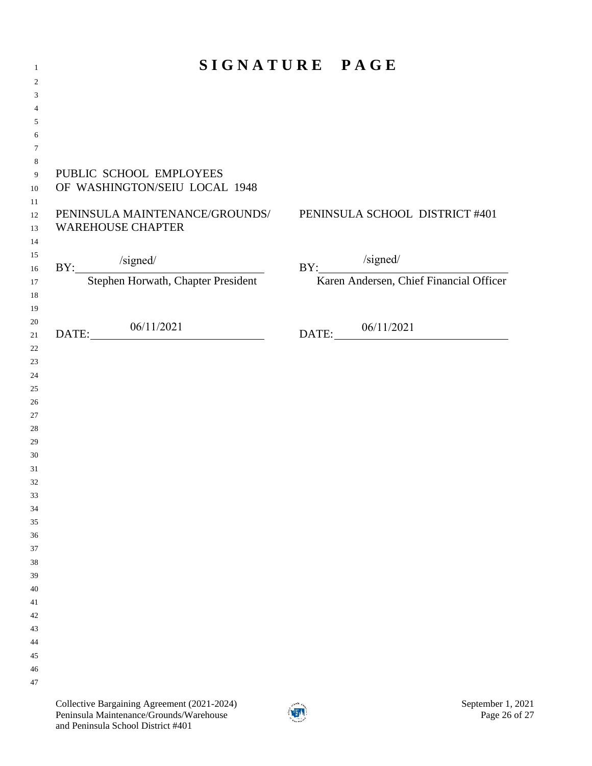| SIGNATURE PAGE                                                                            |                                         |  |  |  |
|-------------------------------------------------------------------------------------------|-----------------------------------------|--|--|--|
|                                                                                           |                                         |  |  |  |
|                                                                                           |                                         |  |  |  |
|                                                                                           |                                         |  |  |  |
|                                                                                           |                                         |  |  |  |
|                                                                                           |                                         |  |  |  |
|                                                                                           |                                         |  |  |  |
| PUBLIC SCHOOL EMPLOYEES<br>OF WASHINGTON/SEIU LOCAL 1948                                  |                                         |  |  |  |
| PENINSULA MAINTENANCE/GROUNDS/ PENINSULA SCHOOL DISTRICT #401<br><b>WAREHOUSE CHAPTER</b> |                                         |  |  |  |
|                                                                                           | /signed/<br>BY:                         |  |  |  |
| BY: Stephen Horwath, Chapter President                                                    | Karen Andersen, Chief Financial Officer |  |  |  |
|                                                                                           |                                         |  |  |  |
| DATE: $06/11/2021$                                                                        | DATE: $06/11/2021$                      |  |  |  |
|                                                                                           |                                         |  |  |  |
|                                                                                           |                                         |  |  |  |
|                                                                                           |                                         |  |  |  |
|                                                                                           |                                         |  |  |  |
|                                                                                           |                                         |  |  |  |
|                                                                                           |                                         |  |  |  |
|                                                                                           |                                         |  |  |  |
|                                                                                           |                                         |  |  |  |
|                                                                                           |                                         |  |  |  |
|                                                                                           |                                         |  |  |  |
|                                                                                           |                                         |  |  |  |
|                                                                                           |                                         |  |  |  |
|                                                                                           |                                         |  |  |  |
|                                                                                           |                                         |  |  |  |
|                                                                                           |                                         |  |  |  |
|                                                                                           |                                         |  |  |  |
|                                                                                           |                                         |  |  |  |
|                                                                                           |                                         |  |  |  |
|                                                                                           |                                         |  |  |  |
|                                                                                           |                                         |  |  |  |
|                                                                                           |                                         |  |  |  |
|                                                                                           |                                         |  |  |  |
|                                                                                           |                                         |  |  |  |
|                                                                                           |                                         |  |  |  |